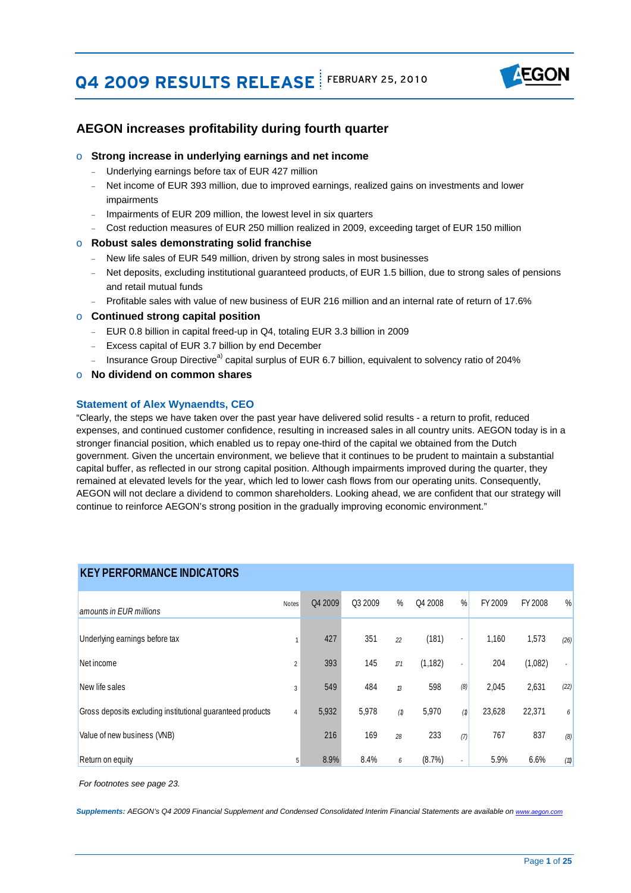# **Q4 2009 RESULTS RELEASE** FEBRUARY 25, 2010



### **AEGON increases profitability during fourth quarter**

### o **Strong increase in underlying earnings and net income**

- Underlying earnings before tax of EUR 427 million
- − Net income of EUR 393 million, due to improved earnings, realized gains on investments and lower impairments
- − Impairments of EUR 209 million, the lowest level in six quarters
- − Cost reduction measures of EUR 250 million realized in 2009, exceeding target of EUR 150 million

#### o **Robust sales demonstrating solid franchise**

- − New life sales of EUR 549 million, driven by strong sales in most businesses
- Net deposits, excluding institutional guaranteed products, of EUR 1.5 billion, due to strong sales of pensions and retail mutual funds
- − Profitable sales with value of new business of EUR 216 million and an internal rate of return of 17.6%

#### o **Continued strong capital position**

- − EUR 0.8 billion in capital freed-up in Q4, totaling EUR 3.3 billion in 2009
- − Excess capital of EUR 3.7 billion by end December
- − Insurance Group Directive<sup>a)</sup> capital surplus of EUR 6.7 billion, equivalent to solvency ratio of 204%

#### o **No dividend on common shares**

#### **Statement of Alex Wynaendts, CEO**

 AEGON will not declare a dividend to common shareholders. Looking ahead, we are confident that our strategy will "Clearly, the steps we have taken over the past year have delivered solid results - a return to profit, reduced expenses, and continued customer confidence, resulting in increased sales in all country units. AEGON today is in a stronger financial position, which enabled us to repay one-third of the capital we obtained from the Dutch government. Given the uncertain environment, we believe that it continues to be prudent to maintain a substantial capital buffer, as reflected in our strong capital position. Although impairments improved during the quarter, they remained at elevated levels for the year, which led to lower cash flows from our operating units. Consequently, continue to reinforce AEGON's strong position in the gradually improving economic environment."

## **KEY PERFORMANCE INDICATORS**

| amounts in EUR millions                                    | <b>Notes</b>   | Q4 2009 | Q3 2009 | %             | Q4 2008   | %              | FY 2009 | FY 2008 | $\frac{0}{0}$  |
|------------------------------------------------------------|----------------|---------|---------|---------------|-----------|----------------|---------|---------|----------------|
| Underlying earnings before tax                             |                | 427     | 351     | 22            | (181)     | $\blacksquare$ | 1,160   | 1,573   | (26)           |
| Net income                                                 | $\overline{2}$ | 393     | 145     | $\Pi$         | (1, 182)  | ۰.             | 204     | (1,082) | $\blacksquare$ |
| New life sales                                             | 3              | 549     | 484     | $\mathcal{B}$ | 598       | (8)            | 2,045   | 2,631   | (22)           |
| Gross deposits excluding institutional guaranteed products | $\overline{4}$ | 5,932   | 5,978   | (1)           | 5,970     | (1)            | 23,628  | 22,371  | 6              |
| Value of new business (VNB)                                |                | 216     | 169     | 28            | 233       | (7)            | 767     | 837     | (8)            |
| Return on equity                                           | 5              | 8.9%    | 8.4%    | 6             | $(8.7\%)$ | ٠              | 5.9%    | 6.6%    | (11)           |

*For footnotes see page 23.*

*Supplements: AEGON's Q4 2009 Financial Supplement and Condensed Consolidated Interim Financial Statements are available on www.aegon.com*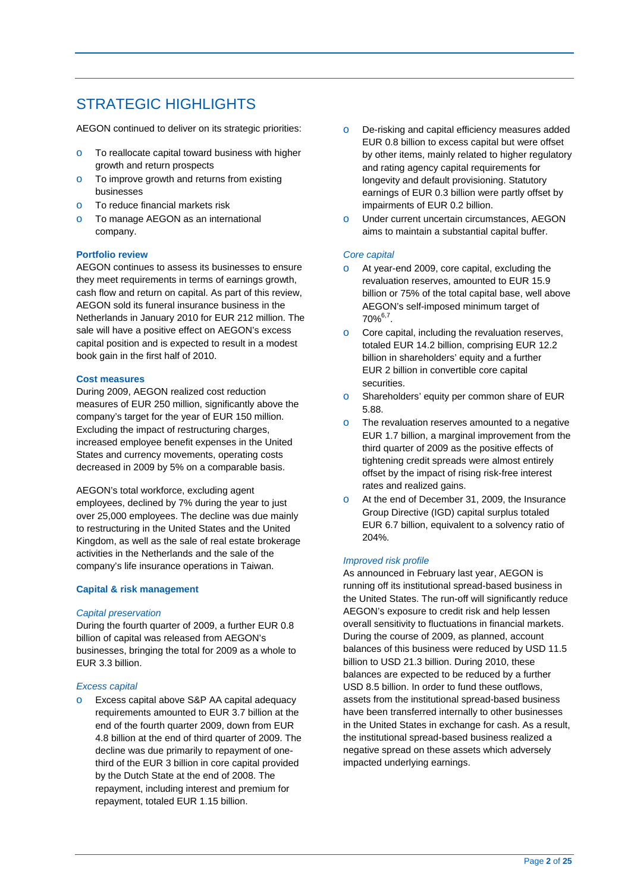# STRATEGIC HIGHI IGHTS

AEGON continued to deliver on its strategic priorities:

- o To reallocate capital toward business with higher growth and return prospects
- o To improve growth and returns from existing businesses
- o To reduce financial markets risk
- o To manage AEGON as an international company.

#### **Portfolio review**

AEGON continues to assess its businesses to ensure they meet requirements in terms of earnings growth, cash flow and return on capital. As part of this review, AEGON sold its funeral insurance business in the Netherlands in January 2010 for EUR 212 million. The sale will have a positive effect on AEGON's excess capital position and is expected to result in a modest book gain in the first half of 2010.

#### **Cost measures**

During 2009, AEGON realized cost reduction measures of EUR 250 million, significantly above the company's target for the year of EUR 150 million. Excluding the impact of restructuring charges, increased employee benefit expenses in the United States and currency movements, operating costs decreased in 2009 by 5% on a comparable basis.

AEGON's total workforce, excluding agent employees, declined by 7% during the year to just over 25,000 employees. The decline was due mainly to restructuring in the United States and the United Kingdom, as well as the sale of real estate brokerage activities in the Netherlands and the sale of the company's life insurance operations in Taiwan.

#### **Capital & risk management**

#### *Capital preservation*

During the fourth quarter of 2009, a further EUR 0.8 billion of capital was released from AEGON's businesses, bringing the total for 2009 as a whole to EUR 3.3 billion.

#### *Excess capital*

o Excess capital above S&P AA capital adequacy requirements amounted to EUR 3.7 billion at the end of the fourth quarter 2009, down from EUR 4.8 billion at the end of third quarter of 2009. The decline was due primarily to repayment of onethird of the EUR 3 billion in core capital provided by the Dutch State at the end of 2008. The repayment, including interest and premium for repayment, totaled EUR 1.15 billion.

- earnings of EUR 0.3 billion were partly offset by o De-risking and capital efficiency measures added EUR 0.8 billion to excess capital but were offset by other items, mainly related to higher regulatory and rating agency capital requirements for longevity and default provisioning. Statutory impairments of EUR 0.2 billion.
- o Under current uncertain circumstances, AEGON aims to maintain a substantial capital buffer.

#### *Core capital*

- o At year-end 2009, core capital, excluding the revaluation reserves, amounted to EUR 15.9 billion or 75% of the total capital base, well above AEGON's self-imposed minimum target of  $70\%^{6,7}$ .
- o Core capital, including the revaluation reserves, totaled EUR 14.2 billion, comprising EUR 12.2 billion in shareholders' equity and a further EUR 2 billion in convertible core capital securities.
- o Shareholders' equity per common share of EUR 5.88.
- o The revaluation reserves amounted to a negative EUR 1.7 billion, a marginal improvement from the third quarter of 2009 as the positive effects of tightening credit spreads were almost entirely offset by the impact of rising risk-free interest rates and realized gains.
- o At the end of December 31, 2009, the Insurance Group Directive (IGD) capital surplus totaled EUR 6.7 billion, equivalent to a solvency ratio of 204%.

#### *Improved risk profile*

impacted underlying earnings. As announced in February last year, AEGON is running off its institutional spread-based business in the United States. The run-off will significantly reduce AEGON's exposure to credit risk and help lessen overall sensitivity to fluctuations in financial markets. During the course of 2009, as planned, account balances of this business were reduced by USD 11.5 billion to USD 21.3 billion. During 2010, these balances are expected to be reduced by a further USD 8.5 billion. In order to fund these outflows, assets from the institutional spread-based business have been transferred internally to other businesses in the United States in exchange for cash. As a result, the institutional spread-based business realized a negative spread on these assets which adversely impacted underlying earnings. Page **2** of **25**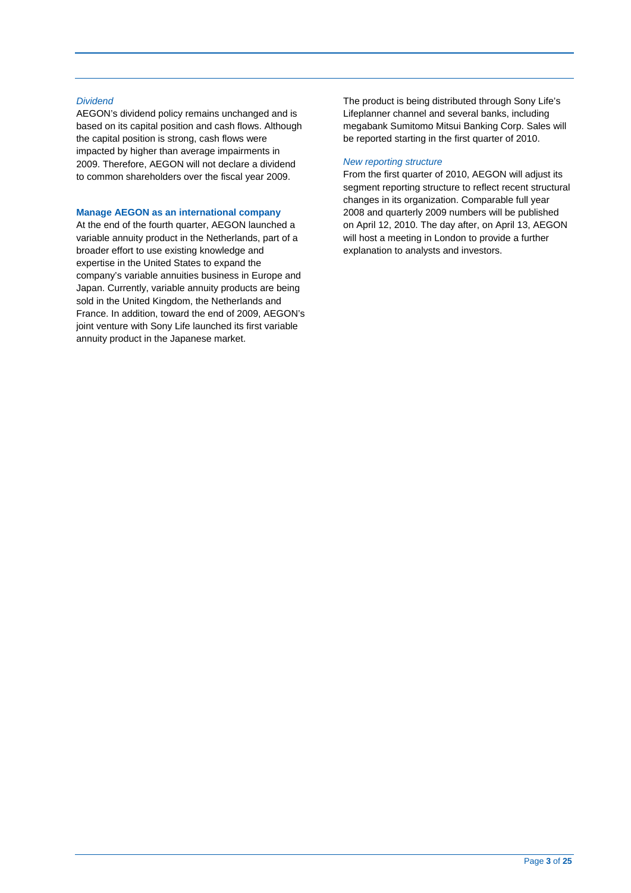#### *Dividend*

AEGON's dividend policy remains unchanged and is based on its capital position and cash flows. Although the capital position is strong, cash flows were impacted by higher than average impairments in 2009. Therefore, AEGON will not declare a dividend to common shareholders over the fiscal year 2009.

#### **Manage AEGON as an international company**

At the end of the fourth quarter, AEGON launched a variable annuity product in the Netherlands, part of a broader effort to use existing knowledge and expertise in the United States to expand the company's variable annuities business in Europe and Japan. Currently, variable annuity products are being sold in the United Kingdom, the Netherlands and France. In addition, toward the end of 2009, AEGON's joint venture with Sony Life launched its first variable annuity product in the Japanese market.

The product is being distributed through Sony Life's Lifeplanner channel and several banks, including megabank Sumitomo Mitsui Banking Corp. Sales will be reported starting in the first quarter of 2010.

#### *New reporting structure*

From the first quarter of 2010, AEGON will adjust its segment reporting structure to reflect recent structural changes in its organization. Comparable full year 2008 and quarterly 2009 numbers will be published on April 12, 2010. The day after, on April 13, AEGON will host a meeting in London to provide a further explanation to analysts and investors.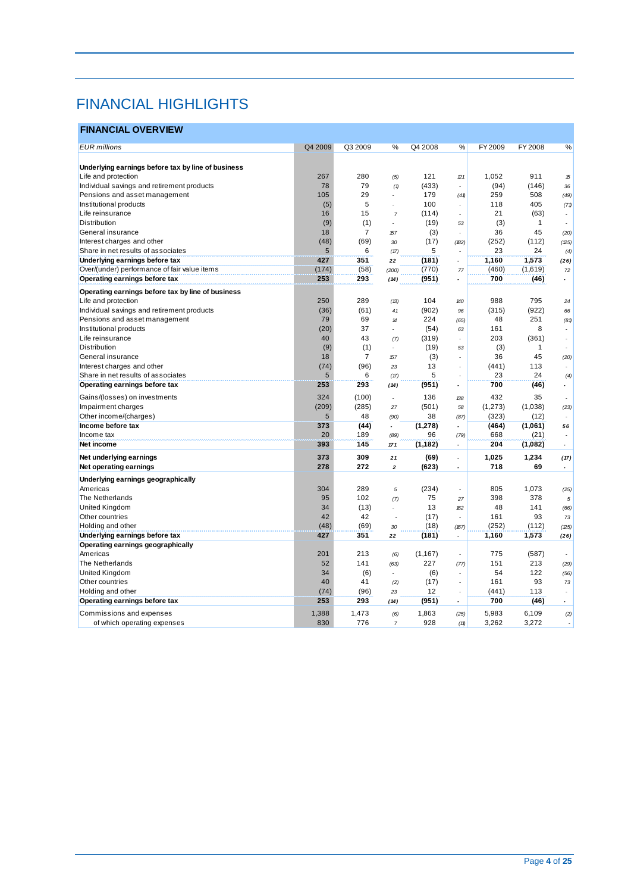# FINANCIAL HIGHLIGHTS

## **FINANCIAL OVERVIEW**

| <b>EUR</b> millions                                | Q4 2009   | Q3 2009               | %                          | Q4 2008     | %                        | FY 2009     | FY 2008      |                          |
|----------------------------------------------------|-----------|-----------------------|----------------------------|-------------|--------------------------|-------------|--------------|--------------------------|
|                                                    |           |                       |                            |             |                          |             |              | %                        |
| Underlying earnings before tax by line of business |           |                       |                            |             |                          |             |              |                          |
| Life and protection                                | 267       | 280                   |                            | 121         | 21                       | 1,052       | 911          |                          |
| Individual savings and retirement products         | 78        | 79                    | (5)                        | (433)       | ÷,                       | (94)        | (146)        | 15                       |
| Pensions and asset management                      | 105       | 29                    | (1)                        | 179         |                          | 259         | 508          | 36                       |
| Institutional products                             |           | 5                     |                            | 100         | (41)<br>÷                | 118         | 405          | (49)                     |
|                                                    | (5)       |                       |                            |             |                          |             |              | (71)                     |
| Life reinsurance                                   | 16        | 15                    | $\overline{7}$             | (114)       | $\overline{a}$           | 21          | (63)         |                          |
| Distribution                                       | (9)<br>18 | (1)<br>$\overline{7}$ |                            | (19)        | 53                       | (3)<br>36   | 1<br>45      |                          |
| General insurance                                  |           |                       | 157                        | (3)         |                          |             |              | (20)                     |
| Interest charges and other                         | (48)      | (69)                  | 30                         | (17)<br>5   | (182)                    | (252)<br>23 | (112)<br>24  | (25)                     |
| Share in net results of associates                 | 5         | 6                     | (17)                       |             |                          |             |              | (4)                      |
| Underlying earnings before tax                     | 427       | 351                   | 22                         | (181)       |                          | 1,160       | 1,573        | (26)                     |
| Over/(under) performance of fair value items       | (174)     | (58)                  | (200)                      | (770)       | 77                       | (460)       | (1,619)      | $72\,$                   |
| Operating earnings before tax                      | 253       | 293                   | (14)                       | (951)       | $\overline{a}$           | 700         | (46)         |                          |
| Operating earnings before tax by line of business  |           |                       |                            |             |                          |             |              |                          |
| Life and protection                                | 250       | 289                   | (13)                       | 104         | 140                      | 988         | 795          | 24                       |
| Individual savings and retirement products         | (36)      | (61)                  | 41                         | (902)       | 96                       | (315)       | (922)        | 66                       |
| Pensions and asset management                      | 79        | 69                    | $\boldsymbol{\mathcal{H}}$ | 224         | (65)                     | 48          | 251          | (81)                     |
| Institutional products                             | (20)      | 37                    |                            | (54)        | 63                       | 161         | 8            |                          |
| Life reinsurance                                   | 40        | 43                    | (7)                        | (319)       | $\overline{a}$           | 203         | (361)        |                          |
| Distribution                                       | (9)       | (1)                   | $\overline{a}$             | (19)        | 53                       | (3)         | $\mathbf{1}$ |                          |
| General insurance                                  | 18        | $\overline{7}$        | 157                        | (3)         |                          | 36          | 45           | (20)                     |
| Interest charges and other                         | (74)      | (96)                  | 23                         | 13          | $\overline{a}$           | (441)       | 113          | ٠                        |
| Share in net results of associates                 | 5         | 6                     | (17)                       | 5           | ÷,                       | 23          | 24           | (4)                      |
| Operating earnings before tax                      | 253       | 293                   | (14)                       | (951)       | $\overline{a}$           | 700         | (46)         |                          |
| Gains/(losses) on investments                      | 324       | (100)                 |                            | 136         | 138                      | 432         | 35           |                          |
| Impairment charges                                 | (209)     | (285)                 | 27                         | (501)       | 58                       | (1, 273)    | (1,038)      | (23)                     |
| Other income/(charges)                             | 5         | 48                    | (90)                       | 38          | (87)                     | (323)       | (12)         |                          |
| Income before tax                                  | 373       | (44)                  | $\overline{a}$             | (1, 278)    |                          | (464)       | (1,061)      | 56                       |
| Income tax                                         | 20        | 189                   | (89)                       | 96          | (79)                     | 668         | (21)         |                          |
| Net income                                         | 393       | 145                   | 171                        | (1, 182)    | $\blacksquare$           | 204         | (1,082)      | $\overline{\phantom{a}}$ |
| Net underlying earnings                            | 373       | 309                   | 21                         | (69)        | $\overline{a}$           | 1,025       | 1,234        | (17)                     |
| Net operating earnings                             | 278       | 272                   | $\overline{2}$             | (623)       |                          | 718         | 69           | $\overline{\phantom{a}}$ |
| Underlying earnings geographically                 |           |                       |                            |             |                          |             |              |                          |
| Americas                                           | 304       | 289                   | 5                          | (234)       |                          | 805         | 1,073        | (25)                     |
| The Netherlands                                    | 95        | 102                   | (7)                        | 75          | 27                       | 398         | 378          | 5                        |
| United Kingdom                                     | 34        | (13)                  | $\overline{a}$             | 13          | 162                      | 48          | 141          | (66)                     |
| Other countries                                    | 42        | 42                    |                            | (17)        |                          | 161         | 93           | 73                       |
| Holding and other                                  | (48)      | (69)                  | 30                         | (18)        | (167)                    | (252)       | (112)        | (25)                     |
| Underlying earnings before tax                     | 427       | 351                   | 22                         | (181)       | $\overline{\phantom{a}}$ | 1,160       | 1,573        | (26)                     |
| Operating earnings geographically                  |           |                       |                            |             |                          |             |              |                          |
| Americas                                           | 201       | 213                   | (6)                        | (1, 167)    |                          | 775         | (587)        |                          |
| The Netherlands                                    | 52        | 141                   | (63)                       | 227         | (77)                     | 151         | 213          | (29)                     |
| United Kingdom                                     | 34        |                       |                            |             |                          | 54          | 122          |                          |
| Other countries                                    | 40        | (6)<br>41             |                            | (6)<br>(17) | ÷,                       | 161         | 93           | (56)                     |
| Holding and other                                  | (74)      | (96)                  | (2)                        | 12          |                          | (441)       | 113          | 73                       |
|                                                    | 253       | 293                   | 23                         |             | $\overline{a}$           | 700         |              |                          |
| Operating earnings before tax                      |           |                       | (14)                       | (951)       |                          |             | (46)         |                          |
| Commissions and expenses                           | 1,388     | 1,473                 | (6)                        | 1,863       | (25)                     | 5,983       | 6,109        | (2)                      |
| of which operating expenses                        | 830       | 776                   | $\overline{7}$             | 928         | (11)                     | 3,262       | 3,272        | $\overline{a}$           |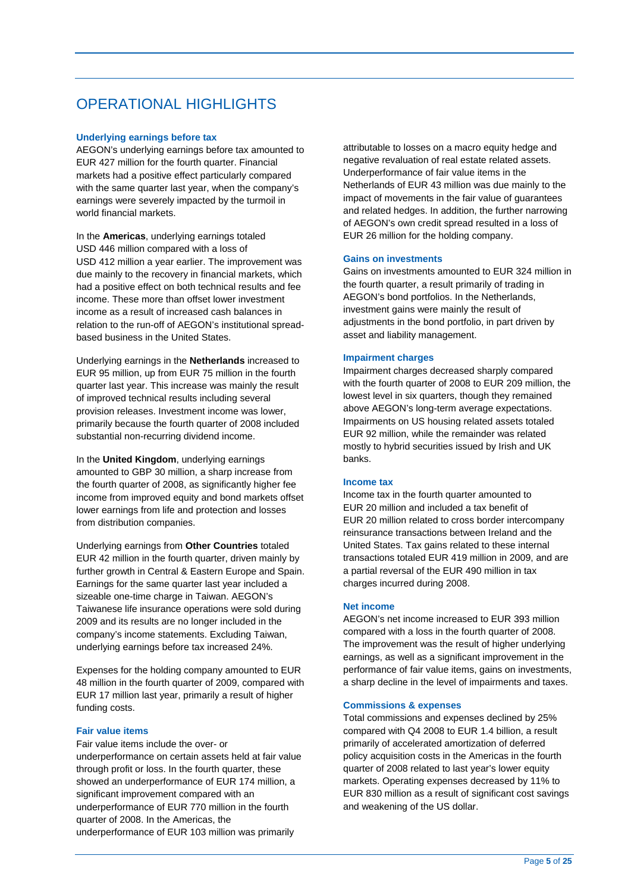# **OPERATIONAL HIGHLIGHTS**

#### **Underlying earnings before tax**

AEGON's underlying earnings before tax amounted to EUR 427 million for the fourth quarter. Financial markets had a positive effect particularly compared with the same quarter last year, when the company's earnings were severely impacted by the turmoil in world financial markets.

In the Americas, underlying earnings totaled USD 446 million compared with a loss of USD 412 million a year earlier. The improvement was due mainly to the recovery in financial markets, which had a positive effect on both technical results and fee income. These more than offset lower investment income as a result of increased cash balances in relation to the run-off of AEGON's institutional spreadbased business in the United States.

Underlying earnings in the **Netherlands** increased to EUR 95 million, up from EUR 75 million in the fourth quarter last year. This increase was mainly the result of improved technical results including several provision releases. Investment income was lower, primarily because the fourth quarter of 2008 included substantial non-recurring dividend income.

In the **United Kingdom**, underlying earnings amounted to GBP 30 million, a sharp increase from the fourth quarter of 2008, as significantly higher fee income from improved equity and bond markets offset lower earnings from life and protection and losses from distribution companies.

 EUR 42 million in the fourth quarter, driven mainly by Underlying earnings from **Other Countries** totaled further growth in Central & Eastern Europe and Spain. Earnings for the same quarter last year included a sizeable one-time charge in Taiwan. AEGON's Taiwanese life insurance operations were sold during 2009 and its results are no longer included in the company's income statements. Excluding Taiwan, underlying earnings before tax increased 24%.

Expenses for the holding company amounted to EUR 48 million in the fourth quarter of 2009, compared with EUR 17 million last year, primarily a result of higher funding costs.

#### **Fair value items**

Fair value items include the over- or underperformance on certain assets held at fair value through profit or loss. In the fourth quarter, these showed an underperformance of EUR 174 million, a significant improvement compared with an underperformance of EUR 770 million in the fourth quarter of 2008. In the Americas, the underperformance of EUR 103 million was primarily

attributable to losses on a macro equity hedge and negative revaluation of real estate related assets. Underperformance of fair value items in the Netherlands of EUR 43 million was due mainly to the impact of movements in the fair value of guarantees and related hedges. In addition, the further narrowing of AEGON's own credit spread resulted in a loss of EUR 26 million for the holding company.

#### **Gains on investments**

Gains on investments amounted to EUR 324 million in the fourth quarter, a result primarily of trading in AEGON's bond portfolios. In the Netherlands, investment gains were mainly the result of adjustments in the bond portfolio, in part driven by asset and liability management.

#### **Impairment charges**

Impairment charges decreased sharply compared with the fourth quarter of 2008 to EUR 209 million, the lowest level in six quarters, though they remained above AEGON's long-term average expectations. Impairments on US housing related assets totaled EUR 92 million, while the remainder was related mostly to hybrid securities issued by Irish and UK banks.

#### **Income tax**

Income tax in the fourth quarter amounted to EUR 20 million and included a tax benefit of EUR 20 million related to cross border intercompany reinsurance transactions between Ireland and the United States. Tax gains related to these internal transactions totaled EUR 419 million in 2009, and are a partial reversal of the EUR 490 million in tax charges incurred during 2008.

#### **Net income**

AEGON's net income increased to EUR 393 million compared with a loss in the fourth quarter of 2008. The improvement was the result of higher underlying earnings, as well as a significant improvement in the performance of fair value items, gains on investments, a sharp decline in the level of impairments and taxes.

#### **Commissions & expenses**

Total commissions and expenses declined by 25% compared with Q4 2008 to EUR 1.4 billion, a result primarily of accelerated amortization of deferred policy acquisition costs in the Americas in the fourth quarter of 2008 related to last year's lower equity markets. Operating expenses decreased by 11% to EUR 830 million as a result of significant cost savings and weakening of the US dollar.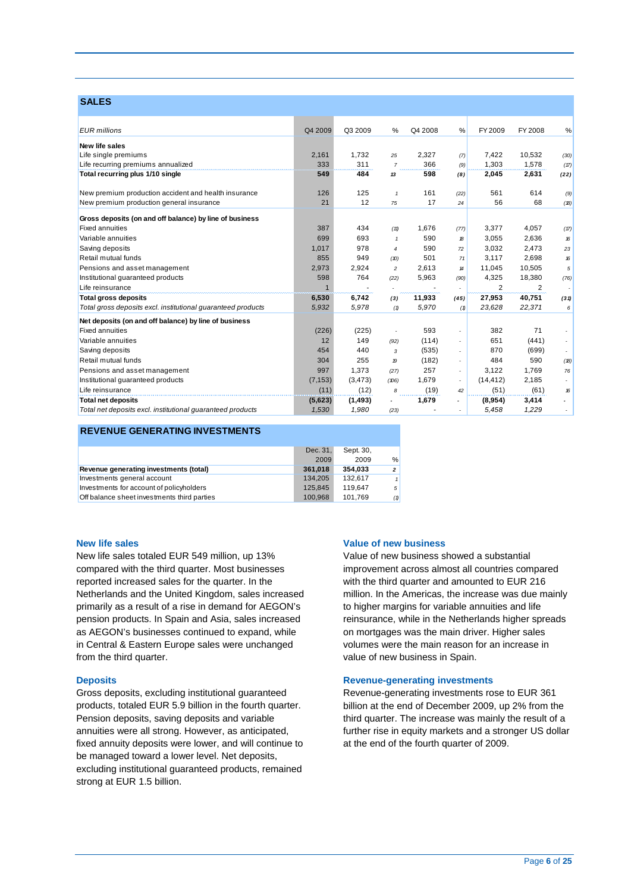### **SALES**

| <b>EUR</b> millions                                          | Q4 2009        | Q3 2009  | %              | Q4 2008 | %                          | FY 2009   | FY 2008 | $\%$ |
|--------------------------------------------------------------|----------------|----------|----------------|---------|----------------------------|-----------|---------|------|
|                                                              |                |          |                |         |                            |           |         |      |
| New life sales                                               |                |          |                |         |                            |           |         |      |
| Life single premiums                                         | 2,161          | 1,732    | 25             | 2,327   | (7)                        | 7,422     | 10,532  | (30) |
| Life recurring premiums annualized                           | 333            | 311      | $\overline{7}$ | 366     | (9)                        | 1,303     | 1,578   | (17) |
| Total recurring plus 1/10 single                             | 549            | 484      | 13             | 598     | (8)                        | 2,045     | 2,631   | (22) |
| New premium production accident and health insurance         | 126            | 125      | $\mathbf{1}$   | 161     | (22)                       | 561       | 614     | (9)  |
| New premium production general insurance                     | 21             | 12       | 75             | 17      | 24                         | 56        | 68      | (B)  |
| Gross deposits (on and off balance) by line of business      |                |          |                |         |                            |           |         |      |
| <b>Fixed annuities</b>                                       | 387            | 434      | (11)           | 1,676   | (77)                       | 3,377     | 4,057   | (17) |
| Variable annuities                                           | 699            | 693      | $\mathbf{1}$   | 590     | 18                         | 3,055     | 2,636   | 16   |
| Saving deposits                                              | 1,017          | 978      | 4              | 590     | 72                         | 3,032     | 2,473   | 23   |
| Retail mutual funds                                          | 855            | 949      | (D)            | 501     | 71                         | 3,117     | 2,698   | 16   |
| Pensions and asset management                                | 2,973          | 2,924    | $\overline{c}$ | 2.613   | $\boldsymbol{\mathcal{H}}$ | 11.045    | 10,505  | 5    |
| Institutional guaranteed products                            | 598            | 764      | (22)           | 5,963   | (90)                       | 4,325     | 18,380  | (76) |
| Life reinsurance                                             | $\overline{1}$ |          |                |         |                            | 2         | 2       | - 1  |
| <b>Total gross deposits</b>                                  | 6,530          | 6,742    | (3)            | 11,933  | (45)                       | 27,953    | 40,751  | (31) |
| Total gross deposits excl. institutional guaranteed products | 5,932          | 5,978    | (1)            | 5,970   | (1)                        | 23,628    | 22,371  | 6    |
| Net deposits (on and off balance) by line of business        |                |          |                |         |                            |           |         |      |
| <b>Fixed annuities</b>                                       | (226)          | (225)    |                | 593     |                            | 382       | 71      |      |
| Variable annuities                                           | 12             | 149      | (92)           | (114)   | ٠                          | 651       | (441)   |      |
| Saving deposits                                              | 454            | 440      | 3              | (535)   |                            | 870       | (699)   |      |
| Retail mutual funds                                          | 304            | 255      | 19             | (182)   |                            | 484       | 590     | (B)  |
| Pensions and asset management                                | 997            | 1,373    | (27)           | 257     | ٠                          | 3,122     | 1.769   | 76   |
| Institutional guaranteed products                            | (7, 153)       | (3, 473) | (106)          | 1,679   | ٠                          | (14, 412) | 2,185   |      |
| Life reinsurance                                             | (11)           | (12)     | 8              | (19)    | 42                         | (51)      | (61)    | 16   |
| <b>Total net deposits</b>                                    | (5,623)        | (1, 493) |                | 1,679   |                            | (8,954)   | 3,414   |      |
| Total net deposits excl. institutional quaranteed products   | 1,530          | 1,980    | (23)           |         |                            | 5,458     | 1,229   |      |

#### **REVENUE GENERATING INVESTMENTS**

|                                             | Dec. 31, | Sept. 30, |                |
|---------------------------------------------|----------|-----------|----------------|
|                                             | 2009     | 2009      | %              |
| Revenue generating investments (total)      | 361.018  | 354.033   | $\overline{2}$ |
| Investments general account                 | 134.205  | 132.617   | $\mathbf{1}$   |
| Investments for account of policyholders    | 125.845  | 119.647   | 5              |
| Off balance sheet investments third parties | 100.968  | 101.769   | (1)            |

#### **New life sales**

New life sales totaled EUR 549 million, up 13% compared with the third quarter. Most businesses reported increased sales for the quarter. In the Netherlands and the United Kingdom, sales increased primarily as a result of a rise in demand for AEGON's pension products. In Spain and Asia, sales increased as AEGON's businesses continued to expand, while in Central & Eastern Europe sales were unchanged from the third quarter.

#### **Deposits**

Gross deposits, excluding institutional guaranteed products, totaled EUR 5.9 billion in the fourth quarter. Pension deposits, saving deposits and variable annuities were all strong. However, as anticipated, fixed annuity deposits were lower, and will continue to be managed toward a lower level. Net deposits, excluding institutional guaranteed products, remained strong at EUR 1.5 billion.

#### **Value of new business**

Value of new business showed a substantial improvement across almost all countries compared with the third quarter and amounted to EUR 216 million. In the Americas, the increase was due mainly to higher margins for variable annuities and life reinsurance, while in the Netherlands higher spreads on mortgages was the main driver. Higher sales volumes were the main reason for an increase in value of new business in Spain.

#### **Revenue-generating investments**

Revenue-generating investments rose to EUR 361 billion at the end of December 2009, up 2% from the third quarter. The increase was mainly the result of a further rise in equity markets and a stronger US dollar at the end of the fourth quarter of 2009.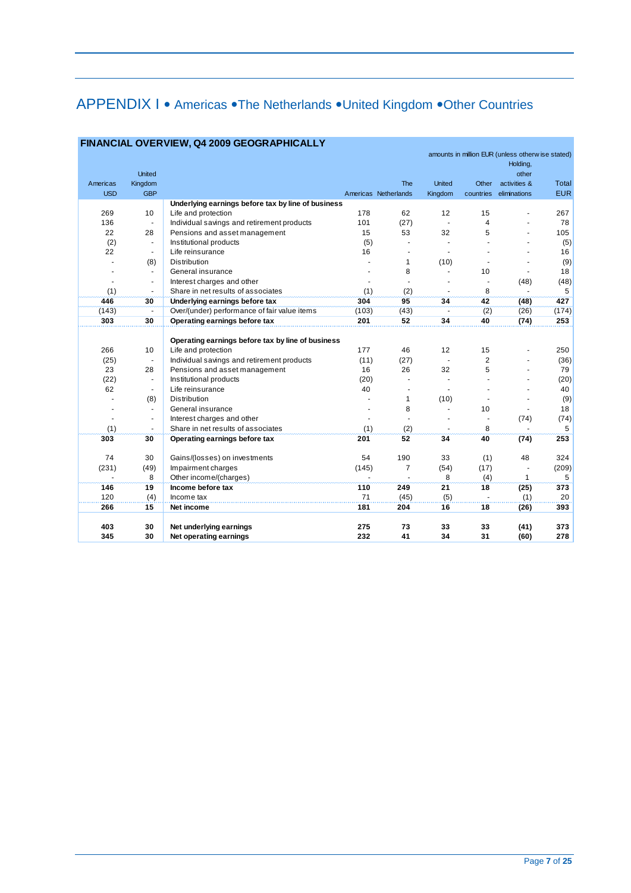# APPENDIX I • Americas • The Netherlands • United Kingdom • Other Countries

|                          |                          |                                                    |                |                      |                |                         | amounts in million EUR (unless otherw ise stated)<br>Holding, |            |
|--------------------------|--------------------------|----------------------------------------------------|----------------|----------------------|----------------|-------------------------|---------------------------------------------------------------|------------|
|                          | <b>United</b>            |                                                    |                |                      |                |                         | other                                                         |            |
| Americas                 | Kingdom                  |                                                    |                | The                  | <b>United</b>  | Other                   | activities &                                                  | Total      |
| <b>USD</b>               | <b>GBP</b>               |                                                    |                | Americas Netherlands | Kingdom        |                         | countries eliminations                                        | <b>EUR</b> |
|                          |                          | Underlying earnings before tax by line of business |                |                      |                |                         |                                                               |            |
| 269                      | 10                       | Life and protection                                | 178            | 62                   | 12             | 15                      |                                                               | 267        |
| 136                      | $\overline{\phantom{a}}$ | Individual savings and retirement products         | 101            | (27)                 |                | $\overline{\mathbf{4}}$ |                                                               | 78         |
| 22                       | 28                       | Pensions and asset management                      | 15             | 53                   | 32             | 5                       |                                                               | 105        |
| (2)                      | $\overline{\phantom{a}}$ | Institutional products                             | (5)            | ÷.                   |                |                         |                                                               | (5)        |
| 22                       | $\overline{\phantom{a}}$ | Life reinsurance                                   | 16             | ÷                    |                |                         |                                                               | 16         |
|                          | (8)                      | <b>Distribution</b>                                |                | 1                    | (10)           |                         |                                                               | (9)        |
|                          | $\overline{\phantom{a}}$ | General insurance                                  |                | 8                    |                | 10                      |                                                               | 18         |
| $\overline{\phantom{a}}$ | $\blacksquare$           | Interest charges and other                         |                |                      |                |                         | (48)                                                          | (48)       |
| (1)                      | $\overline{\phantom{a}}$ | Share in net results of associates                 | (1)            | (2)                  | $\blacksquare$ | 8                       |                                                               | 5          |
| 446                      | 30                       | Underlying earnings before tax                     | 304            | 95                   | 34             | 42                      | (48)                                                          | 427        |
| (143)                    | $\blacksquare$           | Over/(under) performance of fair value items       | (103)          | (43)                 |                | (2)                     | (26)                                                          | (174)      |
| 303                      | 30                       | Operating earnings before tax                      | 201            | 52                   | 34             | 40                      | (74)                                                          | 253        |
|                          |                          |                                                    |                |                      |                |                         |                                                               |            |
|                          |                          | Operating earnings before tax by line of business  |                |                      |                |                         |                                                               |            |
| 266                      | 10                       | Life and protection                                | 177            | 46                   | 12             | 15                      |                                                               | 250        |
| (25)                     | $\overline{\phantom{a}}$ | Individual savings and retirement products         | (11)           | (27)                 |                | $\overline{2}$          |                                                               | (36)       |
| 23                       | 28                       | Pensions and asset management                      | 16             | 26                   | 32             | 5                       |                                                               | 79         |
| (22)                     | $\overline{\phantom{a}}$ | Institutional products                             | (20)           |                      |                |                         |                                                               | (20)       |
| 62                       | $\overline{\phantom{a}}$ | Life reinsurance                                   | 40             |                      |                |                         |                                                               | 40         |
|                          | (8)                      | <b>Distribution</b>                                |                | 1                    | (10)           |                         |                                                               | (9)        |
| $\overline{\phantom{a}}$ | $\blacksquare$           | General insurance                                  |                | 8                    | $\blacksquare$ | 10                      | ٠                                                             | 18         |
|                          | $\overline{\phantom{a}}$ | Interest charges and other                         |                |                      |                |                         | (74)                                                          | (74)       |
| (1)                      | ۰                        | Share in net results of associates                 | (1)            | (2)                  |                | 8                       |                                                               | 5          |
| 303                      | 30                       | Operating earnings before tax                      | 201            | 52                   | 34             | 40                      | (74)                                                          | 253        |
| 74                       | 30                       | Gains/(losses) on investments                      | 54             | 190                  | 33             | (1)                     | 48                                                            | 324        |
| (231)                    | (49)                     | Impairment charges                                 | (145)          | $\overline{7}$       | (54)           | (17)                    |                                                               | (209)      |
| ä,                       | 8                        | Other income/(charges)                             | $\blacksquare$ |                      | 8              | (4)                     | $\mathbf{1}$                                                  | 5          |
| 146                      | 19                       | Income before tax                                  | 110            | 249                  | 21             | 18                      | (25)                                                          | 373        |
| 120                      | (4)                      | Income tax                                         | 71             | (45)                 | (5)            |                         | (1)                                                           | 20         |
| 266                      | 15                       | Net income                                         | 181            | 204                  | 16             | 18                      | (26)                                                          | 393        |
|                          |                          |                                                    |                |                      |                |                         |                                                               |            |
| 403                      | 30                       | Net underlying earnings                            | 275            | 73                   | 33             | 33                      | (41)                                                          | 373        |
| 345                      | 30                       | Net operating earnings                             | 232            | 41                   | 34             | 31                      | (60)                                                          | 278        |

#### **FINANCIAL OVERVIEW, Q4 2009 GEOGRAPHICALLY**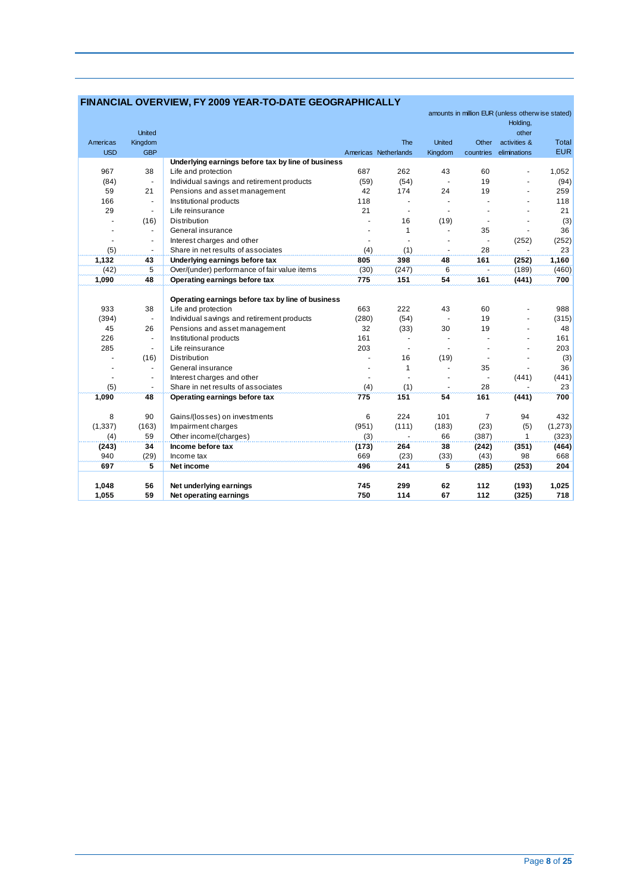### **FINANCIAL OVERVIEW, FY 2009 YEAR-TO-DATE GEOGRAPHICALLY**

|                      |                          |                                                    |       |                      |                |                | amounts in million EUR (unless otherwise stated) |            |
|----------------------|--------------------------|----------------------------------------------------|-------|----------------------|----------------|----------------|--------------------------------------------------|------------|
|                      |                          |                                                    |       |                      |                |                | Holding,                                         |            |
|                      | <b>United</b>            |                                                    |       |                      |                |                | other                                            |            |
| Americas             | Kingdom                  |                                                    |       | The                  | <b>United</b>  | Other          | activities &                                     | Total      |
| <b>USD</b>           | <b>GBP</b>               |                                                    |       | Americas Netherlands | Kingdom        | countries      | eliminations                                     | <b>EUR</b> |
|                      |                          | Underlying earnings before tax by line of business |       |                      |                |                |                                                  |            |
| 967                  | 38                       | Life and protection                                | 687   | 262                  | 43             | 60             |                                                  | 1,052      |
| (84)                 | $\blacksquare$           | Individual savings and retirement products         | (59)  | (54)                 |                | 19             |                                                  | (94)       |
| 59                   | 21                       | Pensions and asset management                      | 42    | 174                  | 24             | 19             |                                                  | 259        |
| 166                  | $\blacksquare$           | Institutional products                             | 118   | $\blacksquare$       |                |                |                                                  | 118        |
| 29                   | $\blacksquare$           | Life reinsurance                                   | 21    | $\ddot{\phantom{0}}$ |                |                |                                                  | 21         |
| ä,                   | (16)                     | Distribution                                       |       | 16                   | (19)           | $\blacksquare$ |                                                  | (3)        |
|                      | $\blacksquare$           | General insurance                                  |       | $\mathbf{1}$         |                | 35             |                                                  | 36         |
| $\sim$               | $\blacksquare$           | Interest charges and other                         |       |                      |                |                | (252)                                            | (252)      |
| (5)                  | $\blacksquare$           | Share in net results of associates                 | (4)   | (1)                  |                | 28             |                                                  | 23         |
| 1,132                | 43                       | Underlying earnings before tax                     | 805   | 398                  | 48             | 161            | (252)                                            | 1,160      |
| (42)                 | 5                        | Over/(under) performance of fair value items       | (30)  | (247)                | 6              | ä,             | (189)                                            | (460)      |
| 1,090                | 48                       | Operating earnings before tax                      | 775   | 151                  | 54             | 161            | (441)                                            | 700        |
|                      |                          |                                                    |       |                      |                |                |                                                  |            |
|                      |                          | Operating earnings before tax by line of business  |       |                      |                |                |                                                  |            |
| 933                  | 38                       | Life and protection                                | 663   | 222                  | 43             | 60             |                                                  | 988        |
| (394)                | $\blacksquare$           | Individual savings and retirement products         | (280) | (54)                 |                | 19             |                                                  | (315)      |
| 45                   | 26                       | Pensions and asset management                      | 32    | (33)                 | 30             | 19             |                                                  | 48         |
| 226                  | $\blacksquare$           | Institutional products                             | 161   |                      |                |                |                                                  | 161        |
| 285                  | $\blacksquare$           | Life reinsurance                                   | 203   | $\mathbf{r}$         | $\blacksquare$ |                |                                                  | 203        |
| ٠                    | (16)                     | Distribution                                       |       | 16                   | (19)           | $\blacksquare$ |                                                  | (3)        |
| $\ddot{\phantom{0}}$ | $\overline{\phantom{a}}$ | General insurance                                  |       | 1                    | ä,             | 35             |                                                  | 36         |
| $\ddot{\phantom{1}}$ | $\blacksquare$           | Interest charges and other                         |       |                      |                |                | (441)                                            | (441)      |
| (5)                  | $\blacksquare$           | Share in net results of associates                 | (4)   | (1)                  |                | 28             |                                                  | 23         |
| 1,090                | 48                       | Operating earnings before tax                      | 775   | 151                  | 54             | 161            | (441)                                            | 700        |
|                      |                          |                                                    |       |                      |                |                |                                                  |            |
| 8                    | 90                       | Gains/(losses) on investments                      | 6     | 224                  | 101            | $\overline{7}$ | 94                                               | 432        |
| (1, 337)             | (163)                    | Impairment charges                                 | (951) | (111)                | (183)          | (23)           | (5)                                              | (1, 273)   |
| (4)                  | 59                       | Other income/(charges)                             | (3)   | $\blacksquare$       | 66             | (387)          | 1                                                | (323)      |
| (243)                | 34                       | Income before tax                                  | (173) | 264                  | 38             | (242)          | (351)                                            | (464)      |
| 940                  | (29)                     | Income tax                                         | 669   | (23)                 | (33)           | (43)           | 98                                               | 668        |
| 697                  | 5                        | Net income                                         | 496   | 241                  | 5              | (285)          | (253)                                            | 204        |
|                      |                          |                                                    |       |                      |                |                |                                                  |            |
| 1,048                | 56                       | Net underlying earnings                            | 745   | 299                  | 62             | 112            | (193)                                            | 1,025      |
| 1,055                | 59                       | Net operating earnings                             | 750   | 114                  | 67             | 112            | (325)                                            | 718        |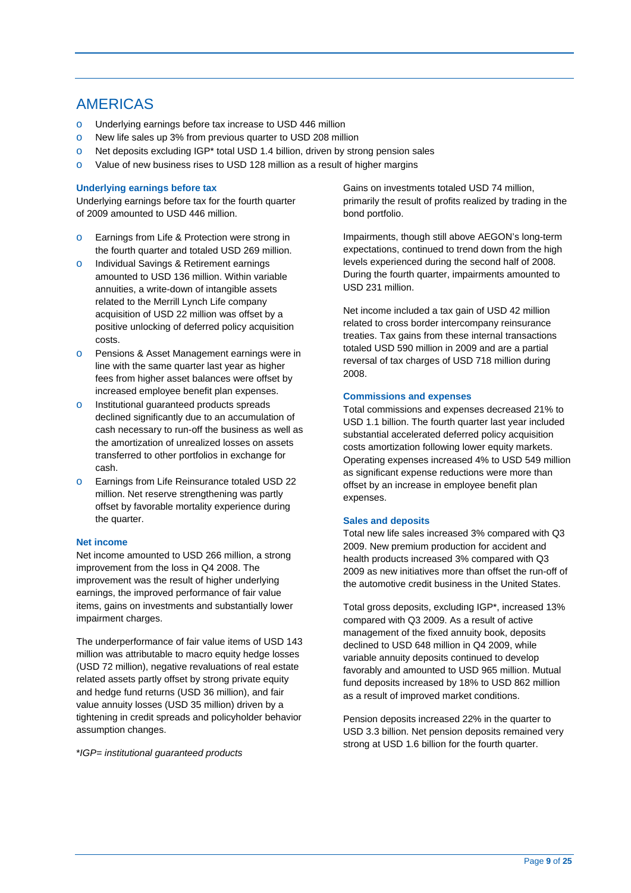## AMERICAS

- o Underlying earnings before tax increase to USD 446 million
- o New life sales up 3% from previous quarter to USD 208 million
- o Net deposits excluding IGP\* total USD 1.4 billion, driven by strong pension sales
- o Value of new business rises to USD 128 million as a result of higher margins

#### **Underlying earnings before tax**

Underlying earnings before tax for the fourth quarter of 2009 amounted to USD 446 million.

- o Earnings from Life & Protection were strong in the fourth quarter and totaled USD 269 million.
- o Individual Savings & Retirement earnings amounted to USD 136 million. Within variable annuities, a write-down of intangible assets related to the Merrill Lynch Life company acquisition of USD 22 million was offset by a positive unlocking of deferred policy acquisition costs.
- o Pensions & Asset Management earnings were in line with the same quarter last year as higher fees from higher asset balances were offset by increased employee benefit plan expenses.
- o Institutional guaranteed products spreads declined significantly due to an accumulation of cash necessary to run-off the business as well as the amortization of unrealized losses on assets transferred to other portfolios in exchange for cash.
- o Earnings from Life Reinsurance totaled USD 22 million. Net reserve strengthening was partly offset by favorable mortality experience during the quarter.

#### **Net income**

Net income amounted to USD 266 million, a strong improvement from the loss in Q4 2008. The improvement was the result of higher underlying earnings, the improved performance of fair value items, gains on investments and substantially lower impairment charges.

 related assets partly offset by strong private equity value annuity losses (USD 35 million) driven by a The underperformance of fair value items of USD 143 million was attributable to macro equity hedge losses (USD 72 million), negative revaluations of real estate and hedge fund returns (USD 36 million), and fair tightening in credit spreads and policyholder behavior assumption changes.

\**IGP= institutional guaranteed products* 

Gains on investments totaled USD 74 million, primarily the result of profits realized by trading in the bond portfolio.

Impairments, though still above AEGON's long-term expectations, continued to trend down from the high levels experienced during the second half of 2008. During the fourth quarter, impairments amounted to USD 231 million.

Net income included a tax gain of USD 42 million related to cross border intercompany reinsurance treaties. Tax gains from these internal transactions totaled USD 590 million in 2009 and are a partial reversal of tax charges of USD 718 million during 2008.

#### **Commissions and expenses**

Total commissions and expenses decreased 21% to USD 1.1 billion. The fourth quarter last year included substantial accelerated deferred policy acquisition costs amortization following lower equity markets. Operating expenses increased 4% to USD 549 million as significant expense reductions were more than offset by an increase in employee benefit plan expenses.

#### **Sales and deposits**

Total new life sales increased 3% compared with Q3 2009. New premium production for accident and health products increased 3% compared with Q3 2009 as new initiatives more than offset the run-off of the automotive credit business in the United States.

Total gross deposits, excluding IGP\*, increased 13% compared with Q3 2009. As a result of active management of the fixed annuity book, deposits declined to USD 648 million in Q4 2009, while variable annuity deposits continued to develop favorably and amounted to USD 965 million. Mutual fund deposits increased by 18% to USD 862 million as a result of improved market conditions.

Pension deposits increased 22% in the quarter to USD 3.3 billion. Net pension deposits remained very strong at USD 1.6 billion for the fourth quarter.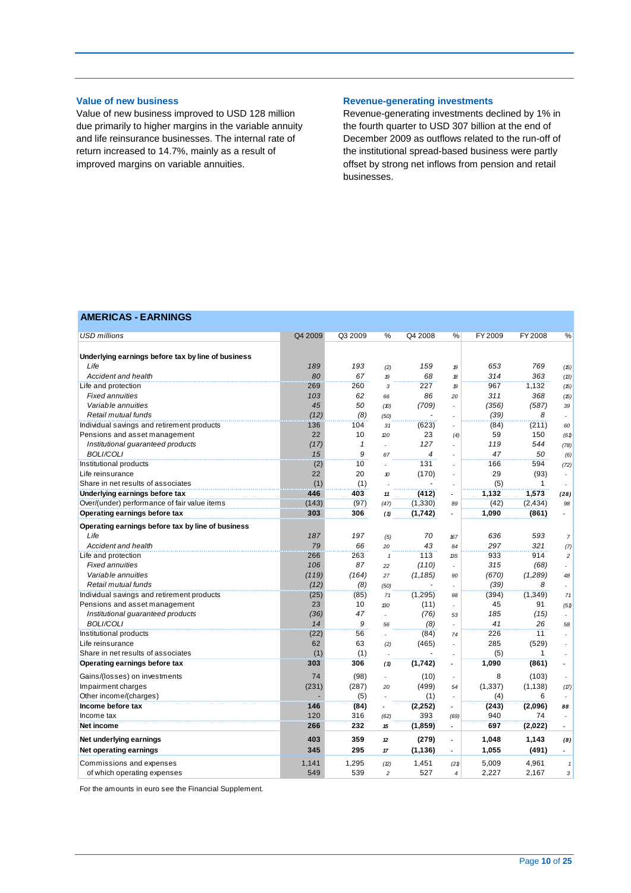#### **Value of new business**

Value of new business improved to USD 128 million due primarily to higher margins in the variable annuity and life reinsurance businesses. The internal rate of return increased to 14.7%, mainly as a result of improved margins on variable annuities.

#### **Revenue-generating investments**

Revenue-generating investments declined by 1% in the fourth quarter to USD 307 billion at the end of December 2009 as outflows related to the run-off of the institutional spread-based business were partly offset by strong net inflows from pension and retail businesses.

### **AMERICAS - EARNINGS**

| <b>USD millions</b>                                | Q4 2009 | Q3 2009      | %                | Q4 2008  | %                        | FY 2009  | FY 2008  | %                   |
|----------------------------------------------------|---------|--------------|------------------|----------|--------------------------|----------|----------|---------------------|
|                                                    |         |              |                  |          |                          |          |          |                     |
| Underlying earnings before tax by line of business |         |              |                  |          |                          |          |          |                     |
| Life                                               | 189     | 193          | (2)              | 159      | 19                       | 653      | 769      | (15)                |
| Accident and health                                | 80      | 67           | $\boldsymbol{p}$ | 68       | 18                       | 314      | 363      | (13)                |
| Life and protection                                | 269     | 260          | $\sqrt{3}$       | 227      | 19                       | 967      | 1,132    | (15)                |
| <b>Fixed annuities</b>                             | 103     | 62           | 66               | 86       | 20                       | 311      | 368      | (15)                |
| Variable annuities                                 | 45      | 50           | (10)             | (709)    |                          | (356)    | (587)    | 39                  |
| Retail mutual funds                                | (12)    | (8)          | (50)             |          |                          | (39)     | 8        | ×.                  |
| Individual savings and retirement products         | 136     | 104          | 31               | (623)    |                          | (84)     | (211)    | 60                  |
| Pensions and asset management                      | 22      | 10           | 20               | 23       | (4)                      | 59       | 150      | (61)                |
| Institutional guaranteed products                  | (17)    | $\mathbf{1}$ |                  | 127      |                          | 119      | 544      | (78)                |
| <b>BOLI/COLI</b>                                   | 15      | 9            | 67               | 4        |                          | 47       | 50       | (6)                 |
| Institutional products                             | (2)     | 10           |                  | 131      |                          | 166      | 594      | (72)                |
| Life reinsurance                                   | 22      | 20           | 10               | (170)    |                          | 29       | (93)     | ÷.                  |
| Share in net results of associates                 | (1)     | (1)          |                  |          |                          | (5)      | 1        |                     |
| Underlying earnings before tax                     | 446     | 403          | 11               | (412)    | $\tilde{\phantom{a}}$    | 1,132    | 1,573    | (28)                |
| Over/(under) performance of fair value items       | (143)   | (97)         | (47)             | (1, 330) | 89                       | (42)     | (2, 434) | 98                  |
| Operating earnings before tax                      | 303     | 306          | (1)              | (1,742)  | $\overline{a}$           | 1,090    | (861)    | ÷                   |
| Operating earnings before tax by line of business  |         |              |                  |          |                          |          |          |                     |
| Life                                               | 187     | 197          | (5)              | 70       | 167                      | 636      | 593      | $\overline{7}$      |
| Accident and health                                | 79      | 66           | 20               | 43       | 84                       | 297      | 321      | (7)                 |
| Life and protection                                | 266     | 263          | $\mathbf{1}$     | 113      | 135                      | 933      | 914      | $\overline{c}$      |
| <b>Fixed annuities</b>                             | 106     | 87           | 22               | (110)    | $\overline{\phantom{a}}$ | 315      | (68)     | ÷.                  |
| Variable annuities                                 | (119)   | (164)        | 27               | (1, 185) | 90                       | (670)    | (1,289)  | 48                  |
| Retail mutual funds                                | (12)    | (8)          | (50)             |          |                          | (39)     | 8        | ÷.                  |
| Individual savings and retirement products         | (25)    | (85)         | 71               | (1,295)  | 98                       | (394)    | (1,349)  | 71                  |
| Pensions and asset management                      | 23      | 10           | 130              | (11)     | $\overline{\phantom{a}}$ | 45       | 91       | (51)                |
| Institutional guaranteed products                  | (36)    | 47           |                  | (76)     | 53                       | 185      | (15)     | ×.                  |
| <b>BOLI/COLI</b>                                   | 14      | 9            | 56               | (8)      | $\overline{\phantom{a}}$ | 41       | 26       | 58                  |
| Institutional products                             | (22)    | 56           |                  | (84)     | 74                       | 226      | 11       | ÷.                  |
| Life reinsurance                                   | 62      | 63           | (2)              | (465)    | $\overline{\phantom{a}}$ | 285      | (529)    |                     |
| Share in net results of associates                 | (1)     | (1)          |                  |          |                          | (5)      | 1        | ٠                   |
| Operating earnings before tax                      | 303     | 306          | (1)              | (1,742)  | $\overline{\phantom{a}}$ | 1,090    | (861)    |                     |
| Gains/(losses) on investments                      | 74      | (98)         | ÷,               | (10)     | $\overline{\phantom{a}}$ | 8        | (103)    | ÷                   |
| Impairment charges                                 | (231)   | (287)        | 20               | (499)    | 54                       | (1, 337) | (1, 138) | (17)                |
| Other income/(charges)                             |         | (5)          |                  | (1)      |                          | (4)      | 6        |                     |
| Income before tax                                  | 146     | (84)         |                  | (2, 252) |                          | (243)    | (2,096)  | 88                  |
| Income tax                                         | 120     | 316          | (62)             | 393      | (69)                     | 940      | 74       |                     |
| Net income                                         | 266     | 232          | 15               | (1,859)  | $\blacksquare$           | 697      | (2,022)  | $\sim$              |
| Net underlying earnings                            | 403     | 359          | 12               | (279)    |                          | 1,048    | 1,143    | (8)                 |
| Net operating earnings                             | 345     | 295          | 17               | (1, 136) | $\blacksquare$           | 1,055    | (491)    | $\sim$              |
| Commissions and expenses                           | 1,141   | 1,295        | (2)              | 1,451    | (21)                     | 5,009    | 4,961    | $\pmb{\mathcal{I}}$ |
| of which operating expenses                        | 549     | 539          | $\overline{c}$   | 527      | $\overline{4}$           | 2,227    | 2,167    | 3                   |

For the amounts in euro see the Financial Supplement.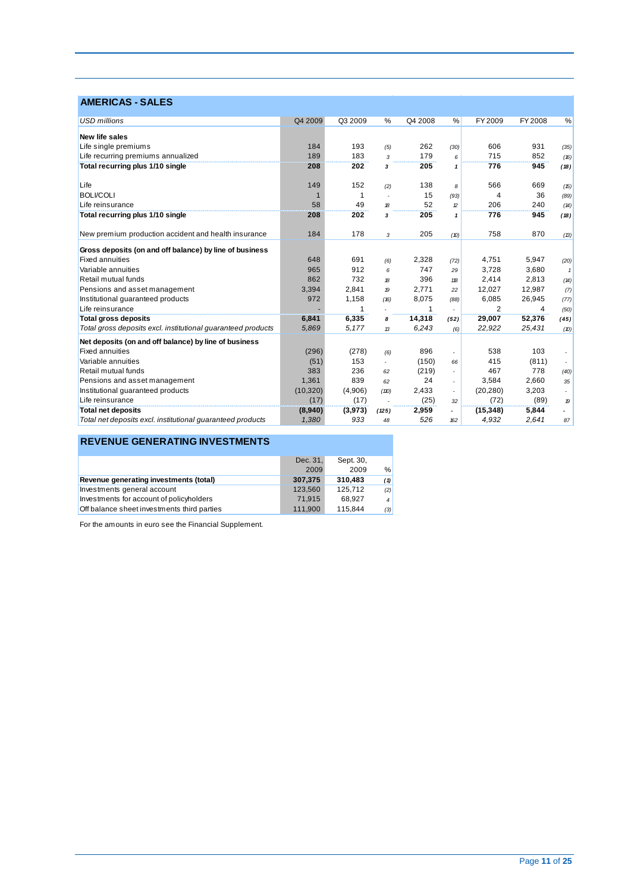| <b>AMERICAS - SALES</b>                                      |           |         |               |         |               |           |                |                  |
|--------------------------------------------------------------|-----------|---------|---------------|---------|---------------|-----------|----------------|------------------|
| <b>USD</b> millions                                          | Q4 2009   | Q3 2009 | %             | Q4 2008 | %             | FY 2009   | <b>FY 2008</b> | %                |
| <b>New life sales</b>                                        |           |         |               |         |               |           |                |                  |
| Life single premiums                                         | 184       | 193     | (5)           | 262     | (30)          | 606       | 931            | (35)             |
| Life recurring premiums annualized                           | 189       | 183     | 3             | 179     | 6             | 715       | 852            | (16)             |
| Total recurring plus 1/10 single                             | 208       | 202     | 3             | 205     | 1             | 776       | 945            | (18)             |
| Life                                                         | 149       | 152     | (2)           | 138     | 8             | 566       | 669            | (15)             |
| <b>BOLI/COLI</b>                                             |           | 1       |               | 15      | (93)          | 4         | 36             | (89)             |
| Life reinsurance                                             | 58        | 49      | 18            | 52      | $\mathcal{D}$ | 206       | 240            | (14)             |
| Total recurring plus 1/10 single                             | 208       | 202     | 3             | 205     | $\mathbf{1}$  | 776       | 945            | (18)             |
| New premium production accident and health insurance         | 184       | 178     | 3             | 205     | (D)           | 758       | 870            | (13)             |
| Gross deposits (on and off balance) by line of business      |           |         |               |         |               |           |                |                  |
| <b>Fixed annuities</b>                                       | 648       | 691     | (6)           | 2,328   | (72)          | 4.751     | 5,947          | (20)             |
| Variable annuities                                           | 965       | 912     | 6             | 747     | 29            | 3,728     | 3,680          | $\mathbf{1}$     |
| Retail mutual funds                                          | 862       | 732     | 18            | 396     | 118           | 2,414     | 2,813          | (14)             |
| Pensions and asset management                                | 3,394     | 2,841   | 19            | 2,771   | 22            | 12,027    | 12,987         | (7)              |
| Institutional quaranteed products                            | 972       | 1,158   | (16)          | 8,075   | (88)          | 6,085     | 26,945         | (77)             |
| Life reinsurance                                             |           | 1       |               | 1       |               | 2         | 4              | (50)             |
| <b>Total gross deposits</b>                                  | 6,841     | 6,335   | 8             | 14,318  | (52)          | 29,007    | 52,376         | (45)             |
| Total gross deposits excl. institutional guaranteed products | 5,869     | 5,177   | $\mathcal{L}$ | 6,243   | (6)           | 22,922    | 25,431         | (D)              |
| Net deposits (on and off balance) by line of business        |           |         |               |         |               |           |                |                  |
| <b>Fixed annuities</b>                                       | (296)     | (278)   | (6)           | 896     |               | 538       | 103            |                  |
| Variable annuities                                           | (51)      | 153     | ÷,            | (150)   | 66            | 415       | (811)          | $\sim$           |
| Retail mutual funds                                          | 383       | 236     | 62            | (219)   |               | 467       | 778            | (40)             |
| Pensions and asset management                                | 1,361     | 839     | 62            | 24      |               | 3,584     | 2.660          | 35               |
| Institutional guaranteed products                            | (10, 320) | (4,906) | (110)         | 2,433   |               | (20, 280) | 3,203          |                  |
| Life reinsurance                                             | (17)      | (17)    |               | (25)    | 32            | (72)      | (89)           | $\boldsymbol{p}$ |
| <b>Total net deposits</b>                                    | (8,940)   | (3,973) | (125)         | 2,959   | ٠             | (15, 348) | 5,844          |                  |
| Total net deposits excl. institutional guaranteed products   | 1,380     | 933     | 48            | 526     | 162           | 4,932     | 2,641          | 87               |

## **REVENUE GENERATING INVESTMENTS**

|                                             | Dec. 31. | Sept. 30, |                |
|---------------------------------------------|----------|-----------|----------------|
|                                             | 2009     | 2009      | %              |
| Revenue generating investments (total)      | 307.375  | 310.483   | (1)            |
| Investments general account                 | 123.560  | 125,712   | (2)            |
| Investments for account of policyholders    | 71.915   | 68.927    | $\overline{4}$ |
| Off balance sheet investments third parties | 111,900  | 115.844   | (3)            |

For the amounts in euro see the Financial Supplement.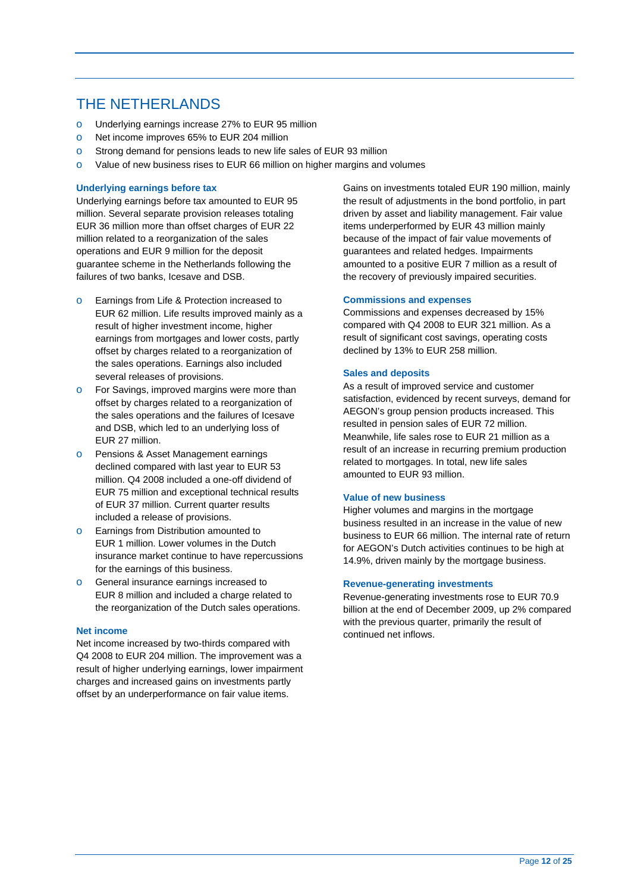## THE NETHERLANDS

- o Underlying earnings increase 27% to EUR 95 million
- o Net income improves 65% to EUR 204 million
- o Strong demand for pensions leads to new life sales of EUR 93 million
- o Value of new business rises to EUR 66 million on higher margins and volumes

#### **Underlying earnings before tax**

Underlying earnings before tax amounted to EUR 95 million. Several separate provision releases totaling EUR 36 million more than offset charges of EUR 22 million related to a reorganization of the sales operations and EUR 9 million for the deposit guarantee scheme in the Netherlands following the failures of two banks, Icesave and DSB.

- o Earnings from Life & Protection increased to EUR 62 million. Life results improved mainly as a result of higher investment income, higher earnings from mortgages and lower costs, partly offset by charges related to a reorganization of the sales operations. Earnings also included several releases of provisions.
- o For Savings, improved margins were more than offset by charges related to a reorganization of the sales operations and the failures of Icesave and DSB, which led to an underlying loss of EUR 27 million.
- o Pensions & Asset Management earnings declined compared with last year to EUR 53 million. Q4 2008 included a one-off dividend of EUR 75 million and exceptional technical results of EUR 37 million. Current quarter results included a release of provisions.
- o Earnings from Distribution amounted to EUR 1 million. Lower volumes in the Dutch insurance market continue to have repercussions for the earnings of this business.
- o General insurance earnings increased to EUR 8 million and included a charge related to the reorganization of the Dutch sales operations.

#### **Net income**

 Net income increased by two-thirds compared with Q4 2008 to EUR 204 million. The improvement was a result of higher underlying earnings, lower impairment charges and increased gains on investments partly offset by an underperformance on fair value items.

Gains on investments totaled EUR 190 million, mainly the result of adjustments in the bond portfolio, in part driven by asset and liability management. Fair value items underperformed by EUR 43 million mainly because of the impact of fair value movements of guarantees and related hedges. Impairments amounted to a positive EUR 7 million as a result of the recovery of previously impaired securities.

#### **Commissions and expenses**

Commissions and expenses decreased by 15% compared with Q4 2008 to EUR 321 million. As a result of significant cost savings, operating costs declined by 13% to EUR 258 million.

#### **Sales and deposits**

As a result of improved service and customer satisfaction, evidenced by recent surveys, demand for AEGON's group pension products increased. This resulted in pension sales of EUR 72 million. Meanwhile, life sales rose to EUR 21 million as a result of an increase in recurring premium production related to mortgages. In total, new life sales amounted to EUR 93 million.

#### **Value of new business**

Higher volumes and margins in the mortgage business resulted in an increase in the value of new business to EUR 66 million. The internal rate of return for AEGON's Dutch activities continues to be high at 14.9%, driven mainly by the mortgage business.

#### **Revenue-generating investments**

Revenue-generating investments rose to EUR 70.9 billion at the end of December 2009, up 2% compared with the previous quarter, primarily the result of continued net inflows.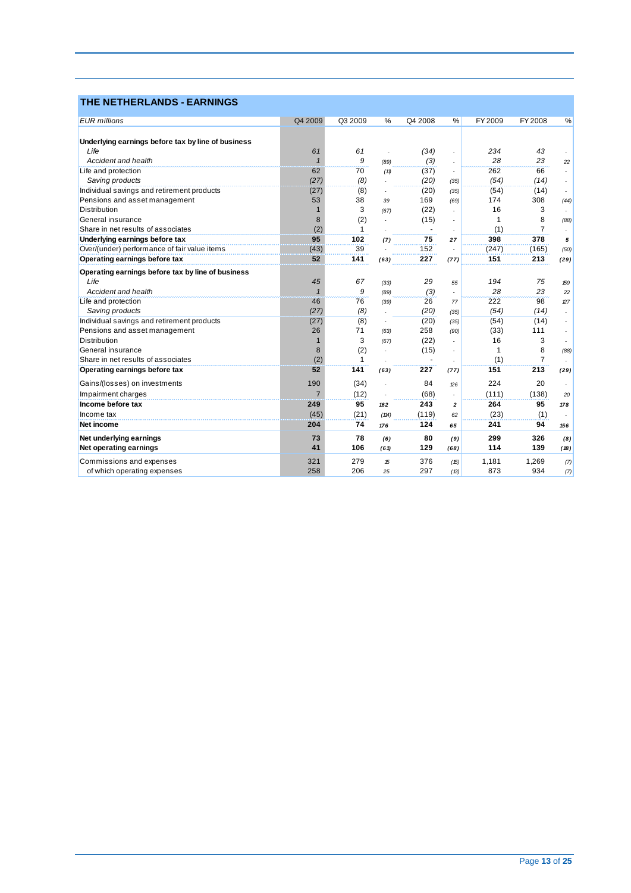| <b>THE NETHERLANDS - EARNINGS</b>                  |                |         |                          |         |                          |         |                |        |
|----------------------------------------------------|----------------|---------|--------------------------|---------|--------------------------|---------|----------------|--------|
| <b>EUR</b> millions                                | Q4 2009        | Q3 2009 | $\frac{0}{0}$            | Q4 2008 | %                        | FY 2009 | <b>FY 2008</b> | %      |
| Underlying earnings before tax by line of business |                |         |                          |         |                          |         |                |        |
| Life                                               | 61             | 61      |                          | (34)    |                          | 234     | 43             |        |
| Accident and health                                | $\mathbf{1}$   | 9       | (89)                     | (3)     |                          | 28      | 23             | 22     |
| Life and protection                                | 62             | 70      | (11)                     | (37)    | $\overline{\phantom{a}}$ | 262     | 66             | $\sim$ |
| Saving products                                    | (27)           | (8)     |                          | (20)    | (35)                     | (54)    | (14)           |        |
| Individual savings and retirement products         | (27)           | (8)     |                          | (20)    | (35)                     | (54)    | (14)           |        |
| Pensions and asset management                      | 53             | 38      | 39                       | 169     | (69)                     | 174     | 308            | (44)   |
| Distribution                                       |                | 3       | (67)                     | (22)    |                          | 16      | 3              |        |
| General insurance                                  | 8              | (2)     |                          | (15)    |                          | 1       | 8              | (88)   |
| Share in net results of associates                 | (2)            | 1       |                          |         |                          | (1)     | $\overline{7}$ |        |
| Underlying earnings before tax                     | 95             | 102     | (7)                      | 75      | 27                       | 398     | 378            | 5      |
| Over/(under) performance of fair value items       | (43)           | 39      |                          | 152     |                          | (247)   | (165)          | (50)   |
| Operating earnings before tax                      | 52             | 141     | (63)                     | 227     | (77)                     | 151     | 213            | (29)   |
| Operating earnings before tax by line of business  |                |         |                          |         |                          |         |                |        |
| Life                                               | 45             | 67      | (33)                     | 29      | 55                       | 194     | 75             | 159    |
| Accident and health                                | $\overline{1}$ | 9       | (89)                     | (3)     | $\overline{a}$           | 28      | 23             | 22     |
| Life and protection                                | 46             | 76      | (39)                     | 26      | 77                       | 222     | 98             | 27     |
| Saving products                                    | (27)           | (8)     |                          | (20)    | (35)                     | (54)    | (14)           |        |
| Individual savings and retirement products         | (27)           | (8)     | $\overline{\phantom{a}}$ | (20)    | (35)                     | (54)    | (14)           |        |
| Pensions and asset management                      | 26             | 71      | (63)                     | 258     | (90)                     | (33)    | 111            |        |
| Distribution                                       | $\mathbf{1}$   | 3       | (67)                     | (22)    |                          | 16      | 3              |        |
| General insurance                                  | 8              | (2)     | ٠                        | (15)    |                          | 1       | 8              | (88)   |
| Share in net results of associates                 | (2)            | 1       |                          |         |                          | (1)     | $\overline{7}$ |        |
| Operating earnings before tax                      | 52             | 141     | (63)                     | 227     | (77)                     | 151     | 213            | (29)   |
| Gains/(losses) on investments                      | 190            | (34)    |                          | 84      | 26                       | 224     | 20             |        |
| Impairment charges                                 | $\overline{7}$ | (12)    |                          | (68)    |                          | (111)   | (138)          | 20     |
| Income before tax                                  | 249            | 95      | 162                      | 243     | 2                        | 264     | 95             | 178    |
| Income tax                                         | (45)           | (21)    | (114)                    | (119)   | 62                       | (23)    | (1)            |        |
| Net income                                         | 204            | 74      | 176                      | 124     | 65                       | 241     | 94             | 156    |
| Net underlying earnings                            | 73             | 78      | (6)                      | 80      | (9)                      | 299     | 326            | (8)    |
| <b>Net operating earnings</b>                      | 41             | 106     | (61)                     | 129     | (68)                     | 114     | 139            | (18)   |
| Commissions and expenses                           | 321            | 279     | 15                       | 376     | (15)                     | 1,181   | 1,269          | (7)    |
| of which operating expenses                        | 258            | 206     | 25                       | 297     | (B)                      | 873     | 934            | (7)    |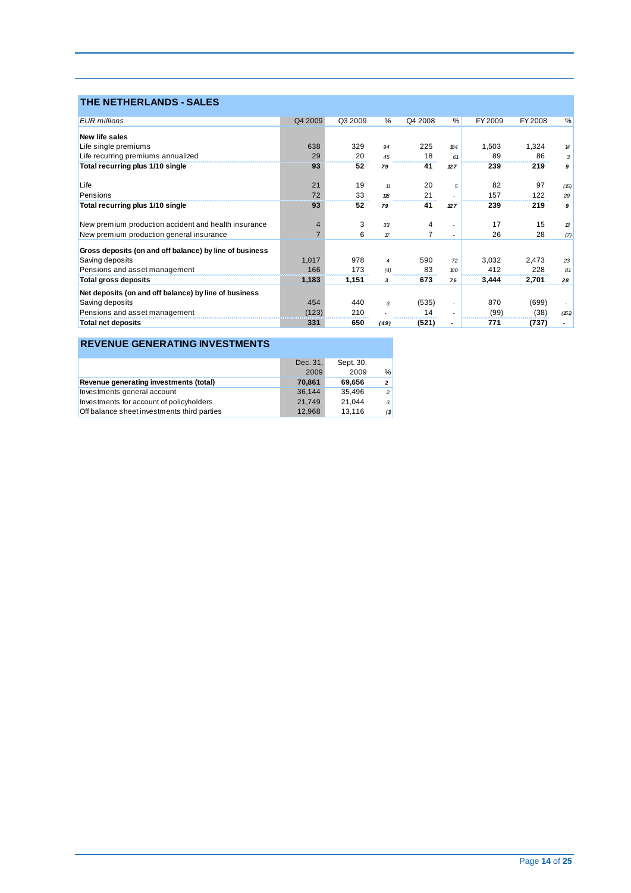## **THE NETHERLANDS - SALES**

| <b>EUR</b> millions                                     | Q4 2009 | Q3 2009 | %              | Q4 2008 | %                        | FY 2009 | FY 2008 | %     |
|---------------------------------------------------------|---------|---------|----------------|---------|--------------------------|---------|---------|-------|
| <b>New life sales</b>                                   |         |         |                |         |                          |         |         |       |
| Life single premiums                                    | 638     | 329     | 94             | 225     | <b>184</b>               | 1.503   | 1,324   | 14    |
| Life recurring premiums annualized                      | 29      | 20      | 45             | 18      | 61                       | 89      | 86      | 3     |
| Total recurring plus 1/10 single                        | 93      | 52      | 79             | 41      | 127                      | 239     | 219     | 9     |
| Life                                                    | 21      | 19      | 11             | 20      | 5                        | 82      | 97      | (15)  |
| Pensions                                                | 72      | 33      | 118            | 21      |                          | 157     | 122     | 29    |
| Total recurring plus 1/10 single                        | 93      | 52      | 79             | 41      | 127                      | 239     | 219     | 9     |
| New premium production accident and health insurance    | 4       | 3       | 33             | 4       |                          | 17      | 15      | 13    |
| New premium production general insurance                |         | 6       | $\pi$          |         | $\overline{\phantom{a}}$ | 26      | 28      | (7)   |
| Gross deposits (on and off balance) by line of business |         |         |                |         |                          |         |         |       |
| Saving deposits                                         | 1,017   | 978     | $\overline{4}$ | 590     | 72                       | 3,032   | 2,473   | 23    |
| Pensions and asset management                           | 166     | 173     | (4)            | 83      | $\mathcal{D}^{\prime}$   | 412     | 228     | 81    |
| Total gross deposits                                    | 1,183   | 1,151   | з              | 673     | 76                       | 3,444   | 2,701   | 28    |
| Net deposits (on and off balance) by line of business   |         |         |                |         |                          |         |         |       |
| Saving deposits                                         | 454     | 440     | 3              | (535)   | ٠                        | 870     | (699)   |       |
| Pensions and asset management                           | (123)   | 210     |                | 14      |                          | (99)    | (38)    | (161) |
| <b>Total net deposits</b>                               | 331     | 650     | (49)           | (521)   |                          | 771     | (737)   |       |

### **REVENUE GENERATING INVESTMENTS**

|                                             | Dec. 31, | Sept. 30, |                |
|---------------------------------------------|----------|-----------|----------------|
|                                             | 2009     | 2009      | %              |
| Revenue generating investments (total)      | 70.861   | 69.656    | $\mathbf{2}$   |
| Investments general account                 | 36.144   | 35.496    | $\overline{2}$ |
| Investments for account of policyholders    | 21.749   | 21.044    | 3              |
| Off balance sheet investments third parties | 12.968   | 13.116    | (1)            |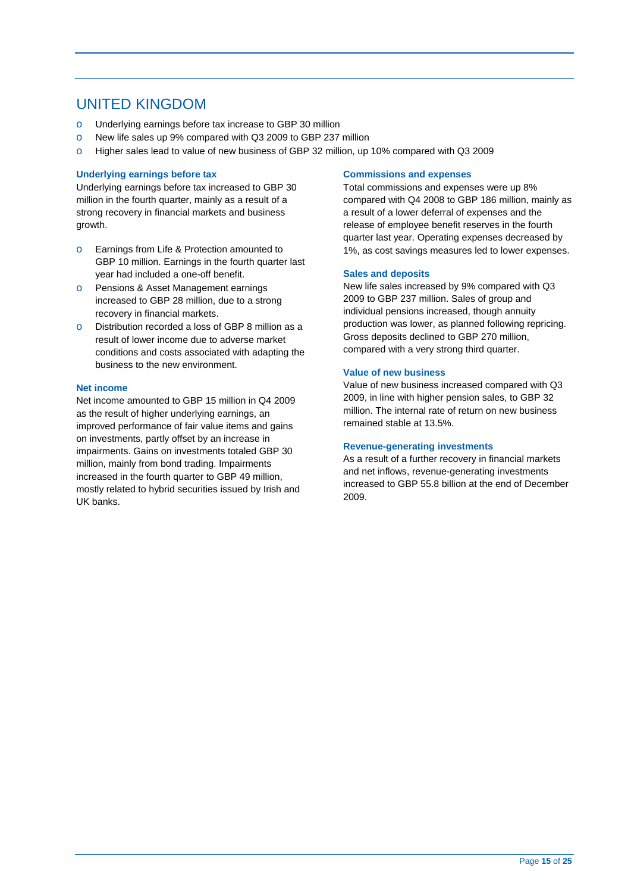## UNITED KINGDOM

- o Underlying earnings before tax increase to GBP 30 million
- o New life sales up 9% compared with Q3 2009 to GBP 237 million
- o Higher sales lead to value of new business of GBP 32 million, up 10% compared with Q3 2009

#### **Underlying earnings before tax**

Underlying earnings before tax increased to GBP 30 million in the fourth quarter, mainly as a result of a strong recovery in financial markets and business growth.

- o Earnings from Life & Protection amounted to GBP 10 million. Earnings in the fourth quarter last year had included a one-off benefit.
- o Pensions & Asset Management earnings increased to GBP 28 million, due to a strong recovery in financial markets.
- o Distribution recorded a loss of GBP 8 million as a result of lower income due to adverse market conditions and costs associated with adapting the business to the new environment.

#### **Net income**

Net income amounted to GBP 15 million in Q4 2009 as the result of higher underlying earnings, an improved performance of fair value items and gains on investments, partly offset by an increase in impairments. Gains on investments totaled GBP 30 million, mainly from bond trading. Impairments increased in the fourth quarter to GBP 49 million, mostly related to hybrid securities issued by Irish and UK banks.

#### **Commissions and expenses**

Total commissions and expenses were up 8% compared with Q4 2008 to GBP 186 million, mainly as a result of a lower deferral of expenses and the release of employee benefit reserves in the fourth quarter last year. Operating expenses decreased by 1%, as cost savings measures led to lower expenses.

#### **Sales and deposits**

New life sales increased by 9% compared with Q3 2009 to GBP 237 million. Sales of group and individual pensions increased, though annuity production was lower, as planned following repricing. Gross deposits declined to GBP 270 million, compared with a very strong third quarter.

#### **Value of new business**

Value of new business increased compared with Q3 2009, in line with higher pension sales, to GBP 32 million. The internal rate of return on new business remained stable at 13.5%.

#### **Revenue-generating investments**

As a result of a further recovery in financial markets and net inflows, revenue-generating investments increased to GBP 55.8 billion at the end of December 2009.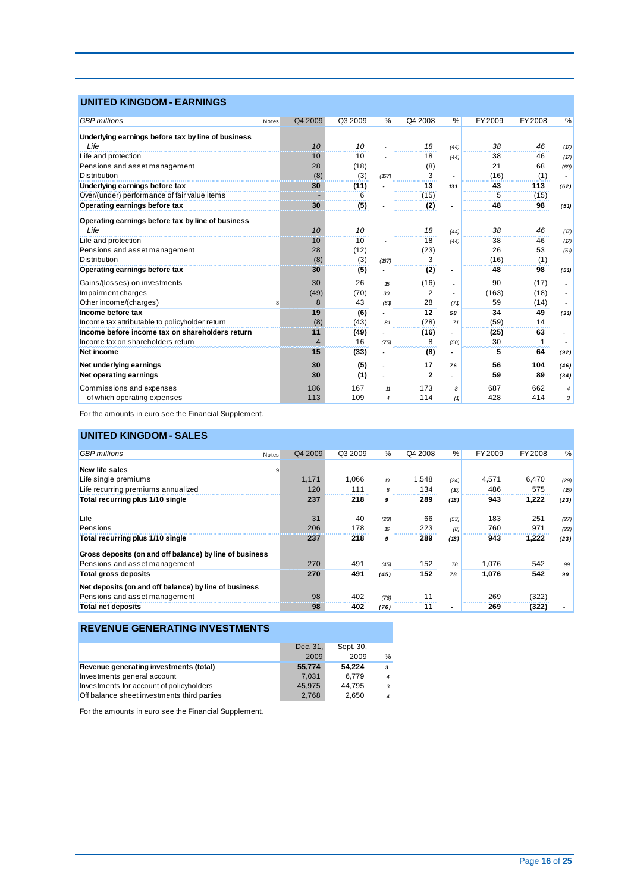### **UNITED KINGDOM - EARNINGS**

| <b>GBP</b> millions                                | Notes | Q4 2009        | Q3 2009 | %     | Q4 2008     | $\frac{0}{0}$            | FY 2009 | FY 2008 | %    |
|----------------------------------------------------|-------|----------------|---------|-------|-------------|--------------------------|---------|---------|------|
| Underlying earnings before tax by line of business |       |                |         |       |             |                          |         |         |      |
| Life                                               |       | 10             | 10      |       | 18          | (44)                     | 38      | 46      | (17) |
| Life and protection                                |       | 10             | 10      |       | 18          | (44)                     | 38      | 46      | (17) |
| Pensions and asset management                      |       | 28             | (18)    |       | (8)         |                          | 21      | 68      | (69) |
| <b>Distribution</b>                                |       | (8)            | (3)     | (167) | 3           |                          | (16)    | (1)     |      |
| Underlying earnings before tax                     |       | 30             | (11)    |       | 13          | 131                      | 43      | 113     | (62) |
| Over/(under) performance of fair value items       |       |                | 6       |       | (15)        | $\overline{\phantom{a}}$ | 5       | (15)    |      |
| Operating earnings before tax                      |       | 30             | (5)     |       | (2)         |                          | 48      | 98      | (51) |
|                                                    |       |                |         |       |             |                          |         |         |      |
| Operating earnings before tax by line of business  |       |                |         |       |             |                          |         |         |      |
| Life                                               |       | 10             | 10      |       | 18          | (44)                     | 38      | 46      | (17) |
| Life and protection                                |       | 10             | 10      |       | 18          | (44)                     | 38      | 46      | (17) |
| Pensions and asset management                      |       | 28             | (12)    |       | (23)        |                          | 26      | 53      | (51) |
| <b>Distribution</b>                                |       | (8)            | (3)     | (167) | 3           |                          | (16)    | (1)     |      |
| Operating earnings before tax                      |       | 30             | (5)     |       | (2)         |                          | 48      | 98      | (51) |
| Gains/(losses) on investments                      |       | 30             | 26      | 15    | (16)        | $\overline{\phantom{a}}$ | 90      | (17)    |      |
| Impairment charges                                 |       | (49)           | (70)    | 30    | 2           |                          | (163)   | (18)    |      |
| Other income/(charges)                             |       | 8              | 43      | (81)  | 28          | (71)                     | 59      | (14)    |      |
| Income before tax                                  |       | 19             | (6)     |       | 12          | 58                       | 34      | 49      | (31) |
| Income tax attributable to policyholder return     |       | (8)            | (43)    | 81    | (28)        | 71                       | (59)    | 14      |      |
| Income before income tax on shareholders return    |       | 11             | (49)    |       | (16)        |                          | (25)    | 63      |      |
| Income tax on shareholders return                  |       | $\overline{4}$ | 16      | (75)  | 8           | (50)                     | 30      | 1       |      |
| Net income                                         |       | 15             | (33)    |       | (8)         | $\overline{\phantom{a}}$ | 5       | 64      | (92) |
| Net underlying earnings                            |       | 30             | (5)     |       | 17          | 76                       | 56      | 104     | (46) |
| Net operating earnings                             |       | 30             | (1)     |       | $\mathbf 2$ |                          | 59      | 89      | (34) |
| Commissions and expenses                           |       | 186            | 167     | 11    | 173         | 8                        | 687     | 662     | 4    |
| of which operating expenses                        |       | 113            | 109     | 4     | 114         | (1)                      | 428     | 414     | 3    |

For the amounts in euro see the Financial Supplement.

### **UNITED KINGDOM - SALES**

| <b>GBP</b> millions                                     | Q4 2009<br>Notes | Q3 2009 | $\%$ | Q4 2008 | %    | FY 2009 | FY 2008 | %    |
|---------------------------------------------------------|------------------|---------|------|---------|------|---------|---------|------|
| <b>New life sales</b>                                   | 9                |         |      |         |      |         |         |      |
| Life single premiums                                    | 1.171            | 1.066   | 10   | 1.548   | (24) | 4.571   | 6.470   | (29) |
| Life recurring premiums annualized                      | 120              | 111     | 8    | 134     | (D)  | 486     | 575     | (15) |
| Total recurring plus 1/10 single                        | 237              | 218     | 9    | 289     | (18) | 943     | 1,222   | (23) |
| Life                                                    | 31               | 40      | (23) | 66      | (53) | 183     | 251     | (27) |
| Pensions                                                | 206              | 178     | 16   | 223     | (8)  | 760     | 971     | (22) |
| Total recurring plus 1/10 single                        | 237              | 218     | 9    | 289     | (18) | 943     | 1,222   | (23) |
| Gross deposits (on and off balance) by line of business |                  |         |      |         |      |         |         |      |
| Pensions and asset management                           | 270              | 491     | (45) | 152     | 78   | 1.076   | 542     | 99   |
| Total gross deposits                                    | 270              | 491     | (45) | 152     | 78   | 1,076   | 542     | 99   |
| Net deposits (on and off balance) by line of business   |                  |         |      |         |      |         |         |      |
| Pensions and asset management                           | 98               | 402     | (76) | 11      |      | 269     | (322)   |      |
| <b>Total net deposits</b>                               | 98               | 402     | (76) | 11      |      | 269     | (322)   |      |

### **REVENUE GENERATING INVESTMENTS**

|                                             | Dec. 31. | Sept. 30, |                |
|---------------------------------------------|----------|-----------|----------------|
|                                             | 2009     | 2009      | %              |
| Revenue generating investments (total)      | 55,774   | 54.224    | 3              |
| Investments general account                 | 7.031    | 6.779     | $\overline{4}$ |
| Investments for account of policyholders    | 45.975   | 44.795    | $\cdot$        |
| Off balance sheet investments third parties | 2.768    | 2.650     | $\overline{4}$ |

For the amounts in euro see the Financial Supplement.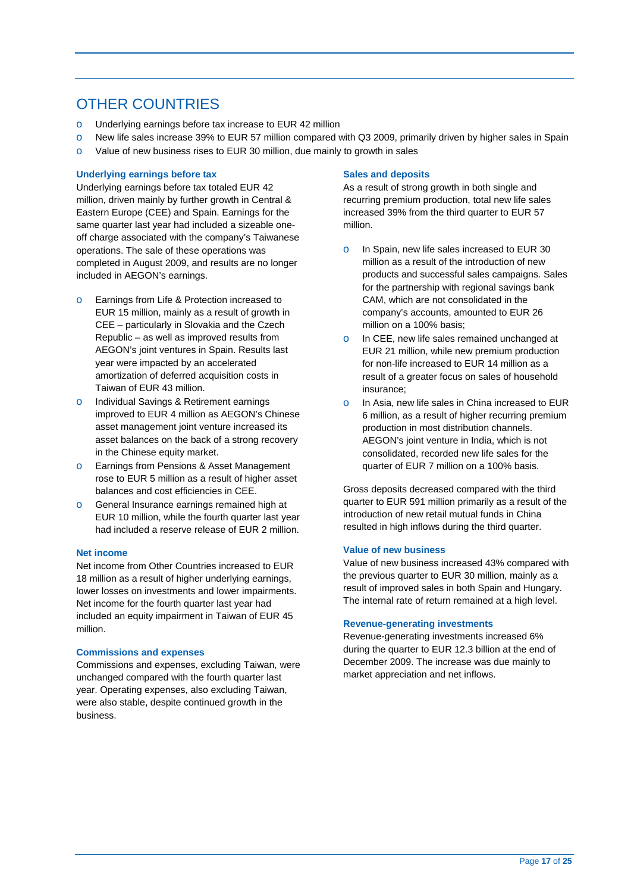## OTHER COUNTRIES

- o Underlying earnings before tax increase to EUR 42 million
- o New life sales increase 39% to EUR 57 million compared with Q3 2009, primarily driven by higher sales in Spain
- o Value of new business rises to EUR 30 million, due mainly to growth in sales

#### **Underlying earnings before tax**

Underlying earnings before tax totaled EUR 42 million, driven mainly by further growth in Central & Eastern Europe (CEE) and Spain. Earnings for the same quarter last year had included a sizeable oneoff charge associated with the company's Taiwanese operations. The sale of these operations was completed in August 2009, and results are no longer included in AEGON's earnings.

- o Earnings from Life & Protection increased to EUR 15 million, mainly as a result of growth in CEE – particularly in Slovakia and the Czech Republic – as well as improved results from AEGON's joint ventures in Spain. Results last year were impacted by an accelerated amortization of deferred acquisition costs in Taiwan of EUR 43 million.
- o Individual Savings & Retirement earnings improved to EUR 4 million as AEGON's Chinese asset management joint venture increased its asset balances on the back of a strong recovery in the Chinese equity market.
- o Earnings from Pensions & Asset Management rose to EUR 5 million as a result of higher asset balances and cost efficiencies in CEE.
- o General Insurance earnings remained high at EUR 10 million, while the fourth quarter last year had included a reserve release of EUR 2 million.

#### **Net income**

Net income from Other Countries increased to EUR 18 million as a result of higher underlying earnings, lower losses on investments and lower impairments. Net income for the fourth quarter last year had included an equity impairment in Taiwan of EUR 45 million.

#### **Commissions and expenses**

Commissions and expenses, excluding Taiwan, were unchanged compared with the fourth quarter last year. Operating expenses, also excluding Taiwan, were also stable, despite continued growth in the business.

#### **Sales and deposits**

As a result of strong growth in both single and recurring premium production, total new life sales increased 39% from the third quarter to EUR 57 million.

- o In Spain, new life sales increased to EUR 30 million as a result of the introduction of new products and successful sales campaigns. Sales for the partnership with regional savings bank CAM, which are not consolidated in the company's accounts, amounted to EUR 26 million on a 100% basis;
- In CEE, new life sales remained unchanged at EUR 21 million, while new premium production for non-life increased to EUR 14 million as a result of a greater focus on sales of household insurance;
- o In Asia, new life sales in China increased to EUR 6 million, as a result of higher recurring premium production in most distribution channels. AEGON's joint venture in India, which is not consolidated, recorded new life sales for the quarter of EUR 7 million on a 100% basis.

Gross deposits decreased compared with the third quarter to EUR 591 million primarily as a result of the introduction of new retail mutual funds in China resulted in high inflows during the third quarter.

#### **Value of new business**

Value of new business increased 43% compared with the previous quarter to EUR 30 million, mainly as a result of improved sales in both Spain and Hungary. The internal rate of return remained at a high level.

#### **Revenue-generating investments**

Revenue-generating investments increased 6% during the quarter to EUR 12.3 billion at the end of December 2009. The increase was due mainly to market appreciation and net inflows.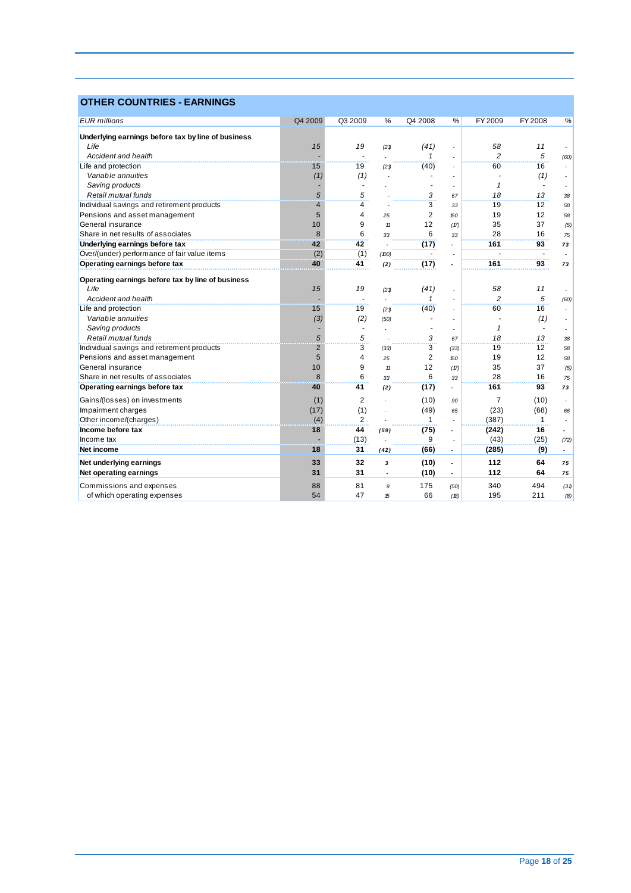## **OTHER COUNTRIES - EARNINGS**

| Underlying earnings before tax by line of business<br>Life<br>15<br>19<br>(41)<br>58<br>11<br>(21)<br>ä,<br>5<br>$\overline{c}$<br>Accident and health<br>1<br>(60)<br>Life and protection<br>19<br>(40)<br>60<br>16<br>15<br>(21)<br>Variable annuities<br>(1)<br>(1)<br>(1)<br>Saving products<br>$\mathbf{1}$<br>$\tilde{\phantom{a}}$<br>Retail mutual funds<br>5<br>5<br>18<br>13<br>3<br>38<br>67<br>$\overline{3}$<br>Individual savings and retirement products<br>$\overline{4}$<br>4<br>19<br>12<br>58<br>33<br>$\overline{2}$<br>19<br>12<br>Pensions and asset management<br>5<br>4<br>150<br>58<br>25<br>General insurance<br>10<br>12<br>35<br>37<br>9<br>(17)<br>(5)<br>11<br>8<br>6<br>28<br>Share in net results of associates<br>6<br>16<br>33<br>75<br>33<br>42<br>42<br>Underlying earnings before tax<br>(17)<br>161<br>93<br>73<br>(2)<br>(1)<br>Over/(under) performance of fair value items<br>(100)<br>Operating earnings before tax<br>40<br>41<br>(17)<br>161<br>93<br>(2)<br>73<br>Operating earnings before tax by line of business<br>Life<br>15<br>19<br>58<br>(41)<br>11<br>(21)<br>$\overline{2}$<br>5<br>Accident and health<br>1<br>(60)<br>٠<br>15<br>(40)<br>60<br>16<br>Life and protection<br>19<br>(21)<br>$\overline{a}$<br>Variable annuities<br>(3)<br>(2)<br>(1)<br>(50)<br>Saving products<br>$\mathbf{1}$<br>$\tilde{\phantom{a}}$<br>٠<br>Retail mutual funds<br>5<br>5<br>18<br>3<br>13<br>67<br>38<br>3<br>$\overline{2}$<br>3<br>12<br>Individual savings and retirement products<br>19<br>58<br>(33)<br>(33)<br>5<br>$\overline{2}$<br>Pensions and asset management<br>19<br>12<br>4<br>25<br>150<br>58<br>37<br>General insurance<br>10<br>9<br>12<br>35<br>11<br>(17)<br>(5)<br>8<br>28<br>Share in net results of associates<br>6<br>6<br>16<br>75<br>33<br>33<br>40<br>41<br>161<br>93<br>Operating earnings before tax<br>(17)<br>73<br>(2)<br>ä,<br>Gains/(losses) on investments<br>$\overline{7}$<br>(1)<br>2<br>(10)<br>(10)<br>90<br>(17)<br>(1)<br>(49)<br>(23)<br>(68)<br>Impairment charges<br>65<br>66<br>Other income/(charges)<br>(4)<br>2<br>(387)<br>1<br>1<br>Income before tax<br>44<br>(75)<br>18<br>(242)<br>16<br>(59)<br>ä,<br>(43)<br>(13)<br>(25)<br>Income tax<br>9<br>(72)<br>18<br>31<br>(66)<br>(9)<br>Net income<br>(285)<br>(42)<br>$\overline{\phantom{a}}$<br>$\sim$ |                         |         |         |   |         |   |         |                |    |
|------------------------------------------------------------------------------------------------------------------------------------------------------------------------------------------------------------------------------------------------------------------------------------------------------------------------------------------------------------------------------------------------------------------------------------------------------------------------------------------------------------------------------------------------------------------------------------------------------------------------------------------------------------------------------------------------------------------------------------------------------------------------------------------------------------------------------------------------------------------------------------------------------------------------------------------------------------------------------------------------------------------------------------------------------------------------------------------------------------------------------------------------------------------------------------------------------------------------------------------------------------------------------------------------------------------------------------------------------------------------------------------------------------------------------------------------------------------------------------------------------------------------------------------------------------------------------------------------------------------------------------------------------------------------------------------------------------------------------------------------------------------------------------------------------------------------------------------------------------------------------------------------------------------------------------------------------------------------------------------------------------------------------------------------------------------------------------------------------------------------------------------------------------------------------------------------------------------------------------------------------------------------------------------------------------------------------------------------------------|-------------------------|---------|---------|---|---------|---|---------|----------------|----|
|                                                                                                                                                                                                                                                                                                                                                                                                                                                                                                                                                                                                                                                                                                                                                                                                                                                                                                                                                                                                                                                                                                                                                                                                                                                                                                                                                                                                                                                                                                                                                                                                                                                                                                                                                                                                                                                                                                                                                                                                                                                                                                                                                                                                                                                                                                                                                            | <b>EUR</b> millions     | Q4 2009 | Q3 2009 | % | Q4 2008 | % | FY 2009 | <b>FY 2008</b> | %  |
|                                                                                                                                                                                                                                                                                                                                                                                                                                                                                                                                                                                                                                                                                                                                                                                                                                                                                                                                                                                                                                                                                                                                                                                                                                                                                                                                                                                                                                                                                                                                                                                                                                                                                                                                                                                                                                                                                                                                                                                                                                                                                                                                                                                                                                                                                                                                                            |                         |         |         |   |         |   |         |                |    |
|                                                                                                                                                                                                                                                                                                                                                                                                                                                                                                                                                                                                                                                                                                                                                                                                                                                                                                                                                                                                                                                                                                                                                                                                                                                                                                                                                                                                                                                                                                                                                                                                                                                                                                                                                                                                                                                                                                                                                                                                                                                                                                                                                                                                                                                                                                                                                            |                         |         |         |   |         |   |         |                |    |
|                                                                                                                                                                                                                                                                                                                                                                                                                                                                                                                                                                                                                                                                                                                                                                                                                                                                                                                                                                                                                                                                                                                                                                                                                                                                                                                                                                                                                                                                                                                                                                                                                                                                                                                                                                                                                                                                                                                                                                                                                                                                                                                                                                                                                                                                                                                                                            |                         |         |         |   |         |   |         |                |    |
|                                                                                                                                                                                                                                                                                                                                                                                                                                                                                                                                                                                                                                                                                                                                                                                                                                                                                                                                                                                                                                                                                                                                                                                                                                                                                                                                                                                                                                                                                                                                                                                                                                                                                                                                                                                                                                                                                                                                                                                                                                                                                                                                                                                                                                                                                                                                                            |                         |         |         |   |         |   |         |                |    |
|                                                                                                                                                                                                                                                                                                                                                                                                                                                                                                                                                                                                                                                                                                                                                                                                                                                                                                                                                                                                                                                                                                                                                                                                                                                                                                                                                                                                                                                                                                                                                                                                                                                                                                                                                                                                                                                                                                                                                                                                                                                                                                                                                                                                                                                                                                                                                            |                         |         |         |   |         |   |         |                |    |
|                                                                                                                                                                                                                                                                                                                                                                                                                                                                                                                                                                                                                                                                                                                                                                                                                                                                                                                                                                                                                                                                                                                                                                                                                                                                                                                                                                                                                                                                                                                                                                                                                                                                                                                                                                                                                                                                                                                                                                                                                                                                                                                                                                                                                                                                                                                                                            |                         |         |         |   |         |   |         |                |    |
|                                                                                                                                                                                                                                                                                                                                                                                                                                                                                                                                                                                                                                                                                                                                                                                                                                                                                                                                                                                                                                                                                                                                                                                                                                                                                                                                                                                                                                                                                                                                                                                                                                                                                                                                                                                                                                                                                                                                                                                                                                                                                                                                                                                                                                                                                                                                                            |                         |         |         |   |         |   |         |                |    |
|                                                                                                                                                                                                                                                                                                                                                                                                                                                                                                                                                                                                                                                                                                                                                                                                                                                                                                                                                                                                                                                                                                                                                                                                                                                                                                                                                                                                                                                                                                                                                                                                                                                                                                                                                                                                                                                                                                                                                                                                                                                                                                                                                                                                                                                                                                                                                            |                         |         |         |   |         |   |         |                |    |
|                                                                                                                                                                                                                                                                                                                                                                                                                                                                                                                                                                                                                                                                                                                                                                                                                                                                                                                                                                                                                                                                                                                                                                                                                                                                                                                                                                                                                                                                                                                                                                                                                                                                                                                                                                                                                                                                                                                                                                                                                                                                                                                                                                                                                                                                                                                                                            |                         |         |         |   |         |   |         |                |    |
|                                                                                                                                                                                                                                                                                                                                                                                                                                                                                                                                                                                                                                                                                                                                                                                                                                                                                                                                                                                                                                                                                                                                                                                                                                                                                                                                                                                                                                                                                                                                                                                                                                                                                                                                                                                                                                                                                                                                                                                                                                                                                                                                                                                                                                                                                                                                                            |                         |         |         |   |         |   |         |                |    |
|                                                                                                                                                                                                                                                                                                                                                                                                                                                                                                                                                                                                                                                                                                                                                                                                                                                                                                                                                                                                                                                                                                                                                                                                                                                                                                                                                                                                                                                                                                                                                                                                                                                                                                                                                                                                                                                                                                                                                                                                                                                                                                                                                                                                                                                                                                                                                            |                         |         |         |   |         |   |         |                |    |
|                                                                                                                                                                                                                                                                                                                                                                                                                                                                                                                                                                                                                                                                                                                                                                                                                                                                                                                                                                                                                                                                                                                                                                                                                                                                                                                                                                                                                                                                                                                                                                                                                                                                                                                                                                                                                                                                                                                                                                                                                                                                                                                                                                                                                                                                                                                                                            |                         |         |         |   |         |   |         |                |    |
|                                                                                                                                                                                                                                                                                                                                                                                                                                                                                                                                                                                                                                                                                                                                                                                                                                                                                                                                                                                                                                                                                                                                                                                                                                                                                                                                                                                                                                                                                                                                                                                                                                                                                                                                                                                                                                                                                                                                                                                                                                                                                                                                                                                                                                                                                                                                                            |                         |         |         |   |         |   |         |                |    |
|                                                                                                                                                                                                                                                                                                                                                                                                                                                                                                                                                                                                                                                                                                                                                                                                                                                                                                                                                                                                                                                                                                                                                                                                                                                                                                                                                                                                                                                                                                                                                                                                                                                                                                                                                                                                                                                                                                                                                                                                                                                                                                                                                                                                                                                                                                                                                            |                         |         |         |   |         |   |         |                |    |
|                                                                                                                                                                                                                                                                                                                                                                                                                                                                                                                                                                                                                                                                                                                                                                                                                                                                                                                                                                                                                                                                                                                                                                                                                                                                                                                                                                                                                                                                                                                                                                                                                                                                                                                                                                                                                                                                                                                                                                                                                                                                                                                                                                                                                                                                                                                                                            |                         |         |         |   |         |   |         |                |    |
|                                                                                                                                                                                                                                                                                                                                                                                                                                                                                                                                                                                                                                                                                                                                                                                                                                                                                                                                                                                                                                                                                                                                                                                                                                                                                                                                                                                                                                                                                                                                                                                                                                                                                                                                                                                                                                                                                                                                                                                                                                                                                                                                                                                                                                                                                                                                                            |                         |         |         |   |         |   |         |                |    |
|                                                                                                                                                                                                                                                                                                                                                                                                                                                                                                                                                                                                                                                                                                                                                                                                                                                                                                                                                                                                                                                                                                                                                                                                                                                                                                                                                                                                                                                                                                                                                                                                                                                                                                                                                                                                                                                                                                                                                                                                                                                                                                                                                                                                                                                                                                                                                            |                         |         |         |   |         |   |         |                |    |
|                                                                                                                                                                                                                                                                                                                                                                                                                                                                                                                                                                                                                                                                                                                                                                                                                                                                                                                                                                                                                                                                                                                                                                                                                                                                                                                                                                                                                                                                                                                                                                                                                                                                                                                                                                                                                                                                                                                                                                                                                                                                                                                                                                                                                                                                                                                                                            |                         |         |         |   |         |   |         |                |    |
|                                                                                                                                                                                                                                                                                                                                                                                                                                                                                                                                                                                                                                                                                                                                                                                                                                                                                                                                                                                                                                                                                                                                                                                                                                                                                                                                                                                                                                                                                                                                                                                                                                                                                                                                                                                                                                                                                                                                                                                                                                                                                                                                                                                                                                                                                                                                                            |                         |         |         |   |         |   |         |                |    |
|                                                                                                                                                                                                                                                                                                                                                                                                                                                                                                                                                                                                                                                                                                                                                                                                                                                                                                                                                                                                                                                                                                                                                                                                                                                                                                                                                                                                                                                                                                                                                                                                                                                                                                                                                                                                                                                                                                                                                                                                                                                                                                                                                                                                                                                                                                                                                            |                         |         |         |   |         |   |         |                |    |
|                                                                                                                                                                                                                                                                                                                                                                                                                                                                                                                                                                                                                                                                                                                                                                                                                                                                                                                                                                                                                                                                                                                                                                                                                                                                                                                                                                                                                                                                                                                                                                                                                                                                                                                                                                                                                                                                                                                                                                                                                                                                                                                                                                                                                                                                                                                                                            |                         |         |         |   |         |   |         |                |    |
|                                                                                                                                                                                                                                                                                                                                                                                                                                                                                                                                                                                                                                                                                                                                                                                                                                                                                                                                                                                                                                                                                                                                                                                                                                                                                                                                                                                                                                                                                                                                                                                                                                                                                                                                                                                                                                                                                                                                                                                                                                                                                                                                                                                                                                                                                                                                                            |                         |         |         |   |         |   |         |                |    |
|                                                                                                                                                                                                                                                                                                                                                                                                                                                                                                                                                                                                                                                                                                                                                                                                                                                                                                                                                                                                                                                                                                                                                                                                                                                                                                                                                                                                                                                                                                                                                                                                                                                                                                                                                                                                                                                                                                                                                                                                                                                                                                                                                                                                                                                                                                                                                            |                         |         |         |   |         |   |         |                |    |
|                                                                                                                                                                                                                                                                                                                                                                                                                                                                                                                                                                                                                                                                                                                                                                                                                                                                                                                                                                                                                                                                                                                                                                                                                                                                                                                                                                                                                                                                                                                                                                                                                                                                                                                                                                                                                                                                                                                                                                                                                                                                                                                                                                                                                                                                                                                                                            |                         |         |         |   |         |   |         |                |    |
|                                                                                                                                                                                                                                                                                                                                                                                                                                                                                                                                                                                                                                                                                                                                                                                                                                                                                                                                                                                                                                                                                                                                                                                                                                                                                                                                                                                                                                                                                                                                                                                                                                                                                                                                                                                                                                                                                                                                                                                                                                                                                                                                                                                                                                                                                                                                                            |                         |         |         |   |         |   |         |                |    |
|                                                                                                                                                                                                                                                                                                                                                                                                                                                                                                                                                                                                                                                                                                                                                                                                                                                                                                                                                                                                                                                                                                                                                                                                                                                                                                                                                                                                                                                                                                                                                                                                                                                                                                                                                                                                                                                                                                                                                                                                                                                                                                                                                                                                                                                                                                                                                            |                         |         |         |   |         |   |         |                |    |
|                                                                                                                                                                                                                                                                                                                                                                                                                                                                                                                                                                                                                                                                                                                                                                                                                                                                                                                                                                                                                                                                                                                                                                                                                                                                                                                                                                                                                                                                                                                                                                                                                                                                                                                                                                                                                                                                                                                                                                                                                                                                                                                                                                                                                                                                                                                                                            |                         |         |         |   |         |   |         |                |    |
|                                                                                                                                                                                                                                                                                                                                                                                                                                                                                                                                                                                                                                                                                                                                                                                                                                                                                                                                                                                                                                                                                                                                                                                                                                                                                                                                                                                                                                                                                                                                                                                                                                                                                                                                                                                                                                                                                                                                                                                                                                                                                                                                                                                                                                                                                                                                                            |                         |         |         |   |         |   |         |                |    |
|                                                                                                                                                                                                                                                                                                                                                                                                                                                                                                                                                                                                                                                                                                                                                                                                                                                                                                                                                                                                                                                                                                                                                                                                                                                                                                                                                                                                                                                                                                                                                                                                                                                                                                                                                                                                                                                                                                                                                                                                                                                                                                                                                                                                                                                                                                                                                            |                         |         |         |   |         |   |         |                |    |
|                                                                                                                                                                                                                                                                                                                                                                                                                                                                                                                                                                                                                                                                                                                                                                                                                                                                                                                                                                                                                                                                                                                                                                                                                                                                                                                                                                                                                                                                                                                                                                                                                                                                                                                                                                                                                                                                                                                                                                                                                                                                                                                                                                                                                                                                                                                                                            |                         |         |         |   |         |   |         |                |    |
|                                                                                                                                                                                                                                                                                                                                                                                                                                                                                                                                                                                                                                                                                                                                                                                                                                                                                                                                                                                                                                                                                                                                                                                                                                                                                                                                                                                                                                                                                                                                                                                                                                                                                                                                                                                                                                                                                                                                                                                                                                                                                                                                                                                                                                                                                                                                                            |                         |         |         |   |         |   |         |                |    |
|                                                                                                                                                                                                                                                                                                                                                                                                                                                                                                                                                                                                                                                                                                                                                                                                                                                                                                                                                                                                                                                                                                                                                                                                                                                                                                                                                                                                                                                                                                                                                                                                                                                                                                                                                                                                                                                                                                                                                                                                                                                                                                                                                                                                                                                                                                                                                            |                         |         |         |   |         |   |         |                |    |
|                                                                                                                                                                                                                                                                                                                                                                                                                                                                                                                                                                                                                                                                                                                                                                                                                                                                                                                                                                                                                                                                                                                                                                                                                                                                                                                                                                                                                                                                                                                                                                                                                                                                                                                                                                                                                                                                                                                                                                                                                                                                                                                                                                                                                                                                                                                                                            |                         |         |         |   |         |   |         |                |    |
| ٠                                                                                                                                                                                                                                                                                                                                                                                                                                                                                                                                                                                                                                                                                                                                                                                                                                                                                                                                                                                                                                                                                                                                                                                                                                                                                                                                                                                                                                                                                                                                                                                                                                                                                                                                                                                                                                                                                                                                                                                                                                                                                                                                                                                                                                                                                                                                                          | Net underlying earnings | 33      | 32      | 3 | (10)    |   | 112     | 64             | 75 |
| 31<br>31<br>112<br>Net operating earnings<br>(10)<br>64<br>75<br>$\overline{\phantom{a}}$<br>÷,                                                                                                                                                                                                                                                                                                                                                                                                                                                                                                                                                                                                                                                                                                                                                                                                                                                                                                                                                                                                                                                                                                                                                                                                                                                                                                                                                                                                                                                                                                                                                                                                                                                                                                                                                                                                                                                                                                                                                                                                                                                                                                                                                                                                                                                            |                         |         |         |   |         |   |         |                |    |
| Commissions and expenses<br>88<br>81<br>175<br>340<br>494<br>9<br>(50)<br>(31)                                                                                                                                                                                                                                                                                                                                                                                                                                                                                                                                                                                                                                                                                                                                                                                                                                                                                                                                                                                                                                                                                                                                                                                                                                                                                                                                                                                                                                                                                                                                                                                                                                                                                                                                                                                                                                                                                                                                                                                                                                                                                                                                                                                                                                                                             |                         |         |         |   |         |   |         |                |    |
| 54<br>47<br>66<br>195<br>211<br>of which operating expenses<br>15<br>(B)<br>(8)                                                                                                                                                                                                                                                                                                                                                                                                                                                                                                                                                                                                                                                                                                                                                                                                                                                                                                                                                                                                                                                                                                                                                                                                                                                                                                                                                                                                                                                                                                                                                                                                                                                                                                                                                                                                                                                                                                                                                                                                                                                                                                                                                                                                                                                                            |                         |         |         |   |         |   |         |                |    |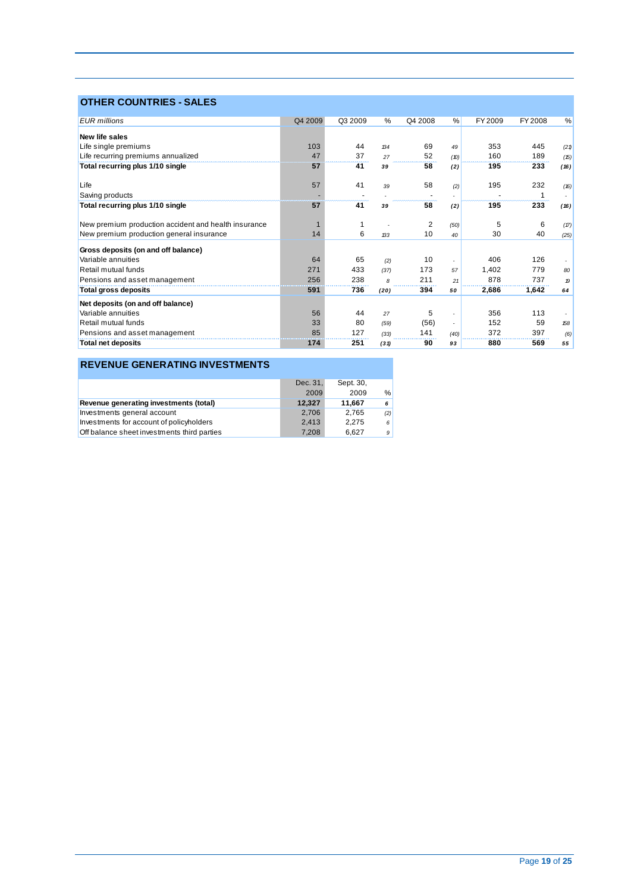### **OTHER COUNTRIES - SALES**

| <b>EUR</b> millions                                  | Q4 2009 | Q3 2009 | %    | Q4 2008 | %                        | FY 2009 | FY 2008 | %                |
|------------------------------------------------------|---------|---------|------|---------|--------------------------|---------|---------|------------------|
| New life sales                                       |         |         |      |         |                          |         |         |                  |
| Life single premiums                                 | 103     | 44      | 134  | 69      | 49                       | 353     | 445     | (21)             |
| Life recurring premiums annualized                   | 47      | 37      | 27   | 52      | (D)                      | 160     | 189     | (15)             |
| Total recurring plus 1/10 single                     | 57      | 41      | 39   | 58      | (2)                      | 195     | 233     | (16)             |
| Life                                                 | 57      | 41      | 39   | 58      | (2)                      | 195     | 232     | (16)             |
| Saving products                                      |         |         |      |         |                          |         | 1       |                  |
| Total recurring plus 1/10 single                     | 57      | 41      | 39   | 58      | (2)                      | 195     | 233     | (16)             |
| New premium production accident and health insurance |         |         |      | 2       | (50)                     | 5       | 6       | (17)             |
| New premium production general insurance             | 14      | 6       | 133  | 10      | 40                       | 30      | 40      | (25)             |
| Gross deposits (on and off balance)                  |         |         |      |         |                          |         |         |                  |
| Variable annuities                                   | 64      | 65      | (2)  | 10      | ٠                        | 406     | 126     |                  |
| Retail mutual funds                                  | 271     | 433     | (37) | 173     | 57                       | 1,402   | 779     | 80               |
| Pensions and asset management                        | 256     | 238     | 8    | 211     | 21                       | 878     | 737     | $\boldsymbol{p}$ |
| <b>Total gross deposits</b>                          | 591     | 736     | (20) | 394     | 50                       | 2,686   | 1,642   | 64               |
| Net deposits (on and off balance)                    |         |         |      |         |                          |         |         |                  |
| Variable annuities                                   | 56      | 44      | 27   | 5       | ٠                        | 356     | 113     |                  |
| Retail mutual funds                                  | 33      | 80      | (59) | (56)    | $\overline{\phantom{a}}$ | 152     | 59      | 158              |
| Pensions and asset management                        | 85      | 127     | (33) | 141     | (40)                     | 372     | 397     | (6)              |
| <b>Total net deposits</b>                            | 174     | 251     | (31) | 90      | 93                       | 880     | 569     | 55               |

### **REVENUE GENERATING INVESTMENTS**

|                                             | Dec. 31, | Sept. 30, |     |
|---------------------------------------------|----------|-----------|-----|
|                                             | 2009     | 2009      | %   |
| Revenue generating investments (total)      | 12,327   | 11.667    | 6   |
| Investments general account                 | 2.706    | 2.765     | (2) |
| Investments for account of policyholders    | 2.413    | 2.275     | 6   |
| Off balance sheet investments third parties | 7.208    | 6.627     | 9   |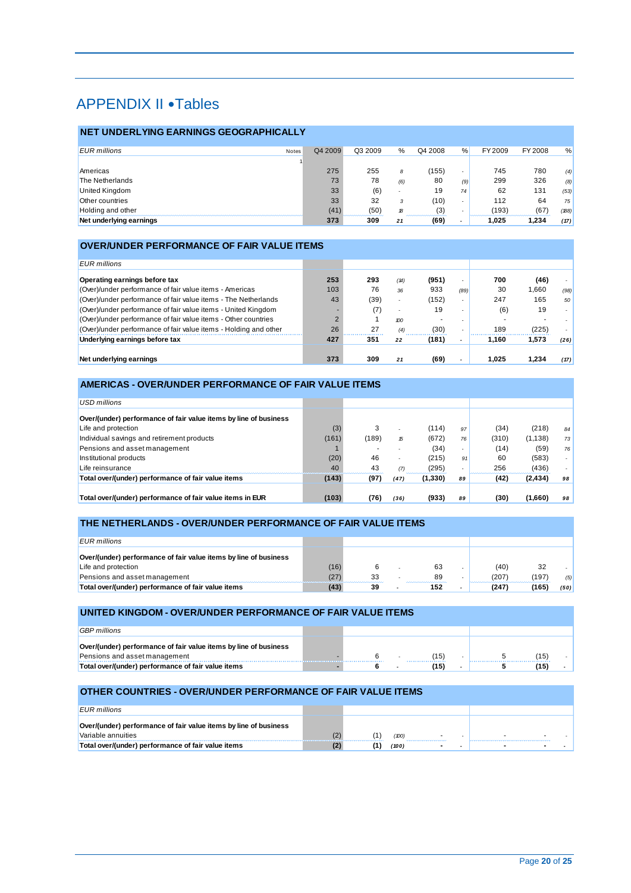# APPENDIX II . Tables

#### **NET UNDERLYING EARNINGS GEOGRAPHICALLY**

| <b>EUR</b> millions     | Notes | Q4 2009 | Q3 2009                  | %                        | Q4 2008                                         | %                        | FY 2009 | FY 2008 | %    |
|-------------------------|-------|---------|--------------------------|--------------------------|-------------------------------------------------|--------------------------|---------|---------|------|
|                         |       |         |                          |                          |                                                 |                          |         |         |      |
| Americas                |       | 275     | 255                      | 8                        | (155)                                           |                          | 745     | 780     | (4)  |
| The Netherlands         |       | 73      | 78                       | (6)                      | 80                                              | (9)                      | 299     | 326     | (8)  |
| <b>United Kingdom</b>   |       | 33      | (6)                      | $\overline{\phantom{a}}$ | 19                                              | 74                       | 62      | 131     | (53) |
| Other countries         |       | 33      | 32                       |                          | (10)                                            | $\overline{\phantom{a}}$ | 112     | 64      | 75   |
| Holding and other       |       | (41)    | (50)<br>,,,,,,,,,,,,,,,, | 18                       | (3)<br><b><i><u>ARABASANA MARAADADA</u></i></b> |                          | 193)    | (67     | (B8) |
| Net underlying earnings |       | 373     | 309                      | 21                       | (69)                                            | -                        | .025    | 1.234   | (17) |

#### **OVER/UNDER PERFORMANCE OF FAIR VALUE ITEMS**

| EUR millions                                                     |     |      |                          |       |                          |       |       |      |
|------------------------------------------------------------------|-----|------|--------------------------|-------|--------------------------|-------|-------|------|
| Operating earnings before tax                                    | 253 | 293  | (14)                     | (951) | $\overline{\phantom{a}}$ | 700   | (46)  |      |
| (Over)/under performance of fair value items - Americas          | 103 | 76   | 36                       | 933   | (89)                     | 30    | 1.660 | (98) |
| (Over)/under performance of fair value items - The Netherlands   | 43  | (39) | $\overline{\phantom{a}}$ | (152) | $\overline{\phantom{a}}$ | 247   | 165   | 50   |
| (Over)/under performance of fair value items - United Kingdom    |     | (7)  | $\overline{\phantom{0}}$ | 19    |                          | (6)   | 19    |      |
| (Over)/under performance of fair value items - Other countries   |     |      | 100                      |       |                          |       |       |      |
| (Over)/under performance of fair value items - Holding and other | 26  | 27   | (4)                      | (30)  |                          | 189   | (225) |      |
| Underlying earnings before tax                                   | 427 | 351  | 22                       | (181) |                          | 1.160 | 1.573 | (26) |
| Net underlying earnings                                          | 373 | 309  | 21                       | (69)  |                          | 1.025 | 1.234 | (17) |

### **AMERICAS - OVER/UNDER PERFORMANCE OF FAIR VALUE ITEMS**

| USD millions                                                     |       |       |                          |          |                          |       |          |    |
|------------------------------------------------------------------|-------|-------|--------------------------|----------|--------------------------|-------|----------|----|
| Over/(under) performance of fair value items by line of business |       |       |                          |          |                          |       |          |    |
| Life and protection                                              | (3)   | 3     |                          | (114)    | 97                       | (34)  | (218)    | 84 |
| Individual savings and retirement products                       | (161) | (189) | 15                       | (672)    | 76                       | (310) | (1, 138) | 73 |
| Pensions and asset management                                    |       |       |                          | (34)     | $\overline{\phantom{a}}$ | (14)  | (59)     | 76 |
| Institutional products                                           | (20)  | 46    | $\overline{\phantom{a}}$ | (215)    | 91                       | 60    | (583)    |    |
| Life reinsurance                                                 | 40    | 43    | (7)                      | (295)    |                          | 256   | (436)    |    |
| Total over/(under) performance of fair value items               | (143) | (97)  | (47)                     | (1, 330) | 89                       | (42)  | (2, 434) | 98 |
|                                                                  |       |       |                          |          |                          |       |          |    |
| Total over/(under) performance of fair value items in EUR        | (103) | (76)  | (36)                     | (933)    | 89                       | (30)  | (1,660)  | 98 |

#### **THE NETHERLANDS - OVER/UNDER PERFORMANCE OF FAIR VALUE ITEMS**

| <b>EUR</b> millions                                              |      |    |     |       |     |      |
|------------------------------------------------------------------|------|----|-----|-------|-----|------|
| Over/(under) performance of fair value items by line of business |      |    |     |       |     |      |
| Life and protection                                              | (16) |    | 63  | (40)  | 32  |      |
| Pensions and asset management                                    | (27) | 33 | 89  | (207) | 197 | (5)  |
| Total over/(under) performance of fair value items               |      | 39 | 152 | .247  | 165 | (50) |

#### **UNITED KINGDOM - OVER/UNDER PERFORMANCE OF FAIR VALUE ITEMS**

| <b>GBP</b> millions                                              |  |  |              |  |    |  |
|------------------------------------------------------------------|--|--|--------------|--|----|--|
|                                                                  |  |  |              |  |    |  |
| Over/(under) performance of fair value items by line of business |  |  |              |  |    |  |
| Pensions and asset management                                    |  |  | $15^{\circ}$ |  | 15 |  |
| Total over/(under) performance of fair value items               |  |  |              |  |    |  |

#### **OTHER COUNTRIES - OVER/UNDER PERFORMANCE OF FAIR VALUE ITEMS**

| $FIR$ millions                                                                         |       |      |                       |        |                          |  |
|----------------------------------------------------------------------------------------|-------|------|-----------------------|--------|--------------------------|--|
| Over/(under) performance of fair value items by line of business<br>Variable annuities |       |      |                       |        |                          |  |
|                                                                                        | _____ | 100  | --------------------- | $\sim$ | $\overline{\phantom{a}}$ |  |
| Total over/(under) performance of fair value items                                     |       | (100 |                       |        |                          |  |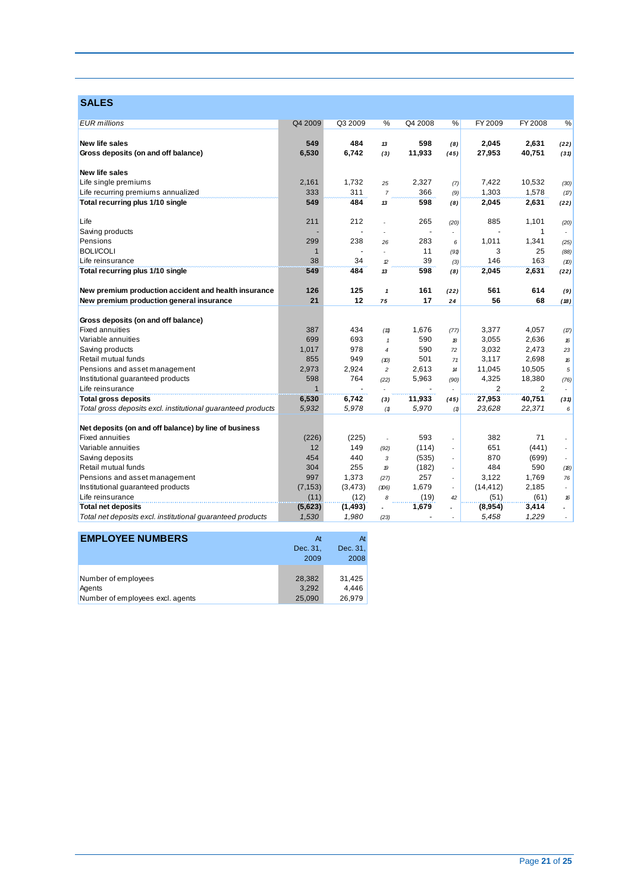## **SALES**

| <b>EUR</b> millions<br>Q4 2009<br>Q3 2009<br>%<br>Q4 2008<br>%<br>FY 2009<br>FY 2008<br>%<br>New life sales<br>549<br>598<br>2,045<br>484<br>2,631<br>13<br>(8)<br>(22)<br>11,933<br>40,751<br>Gross deposits (on and off balance)<br>6,530<br>6,742<br>27,953<br>(3)<br>(45)<br>(31)<br>New life sales<br>2,161<br>1.732<br>2,327<br>7,422<br>10,532<br>25<br>(30)<br>(7)<br>333<br>311<br>366<br>1,303<br>1,578<br>$\overline{7}$<br>(9)<br>(17)<br>549<br>484<br>598<br>2,631<br>2,045<br>(22)<br>13<br>(8)<br>212<br>265<br>Life<br>211<br>885<br>1,101<br>(20)<br>(20)<br>1<br>ä,<br>$\overline{\phantom{a}}$<br>$\sim$<br>299<br>238<br>283<br>1,011<br>Pensions<br>1,341<br>26<br>6<br>(25)<br><b>BOLI/COLI</b><br>11<br>3<br>25<br>$\mathbf{1}$<br>(88)<br>(91)<br>38<br>39<br>146<br>163<br>34<br>Life reinsurance<br>(3)<br>$\mathcal{D}$<br>(10)<br>549<br>484<br>598<br>2,045<br>2,631<br>13<br>(8)<br>(22)<br>126<br>125<br>161<br>561<br>614<br>$\mathbf{1}$<br>(22)<br>(9)<br>12<br>21<br>17<br>56<br>68<br>75<br>24<br>(18)<br><b>Fixed annuities</b><br>387<br>434<br>3,377<br>1,676<br>4,057<br>(11)<br>(77)<br>(17)<br>699<br>693<br>590<br>3,055<br>Variable annuities<br>2.636<br>18<br>$\mathbf{1}$<br>16<br>1,017<br>978<br>590<br>Saving products<br>3,032<br>2,473<br>72<br>23<br>$\overline{4}$<br>Retail mutual funds<br>855<br>949<br>501<br>3,117<br>2,698<br>(10)<br>71<br>16<br>2,973<br>2,924<br>2,613<br>Pensions and asset management<br>11,045<br>10,505<br>$\overline{c}$<br>5<br>$\boldsymbol{\mathcal{H}}$<br>598<br>764<br>Institutional guaranteed products<br>5,963<br>4,325<br>18,380<br>(22)<br>(76)<br>(90)<br>Life reinsurance<br>$\mathbf{1}$<br>2<br>2<br>٠<br>÷.<br>$\overline{\phantom{a}}$<br>$\overline{\phantom{a}}$<br>6,530<br><b>Total gross deposits</b><br>6,742<br>11,933<br>27,953<br>40,751<br>(3)<br>(45)<br>(31)<br>5,932<br>Total gross deposits excl. institutional guaranteed products<br>5,978<br>5,970<br>23,628<br>22,371<br>6<br>(1)<br>(1)<br>Net deposits (on and off balance) by line of business<br><b>Fixed annuities</b><br>(226)<br>(225)<br>593<br>382<br>71<br>$\overline{a}$<br>Variable annuities<br>12<br>149<br>(114)<br>651<br>(441)<br>(92)<br>÷,<br>454<br>440<br>870<br>Saving deposits<br>(535)<br>(699)<br>3<br>÷,<br>Retail mutual funds<br>590<br>304<br>255<br>(182)<br>484<br>19<br>(18)<br>$\overline{\phantom{a}}$<br>997<br>1,373<br>257<br>3,122<br>1,769<br>(27)<br>76<br>$\overline{\phantom{a}}$<br>(3, 473)<br>1,679<br>(14, 412)<br>2,185<br>(7, 153)<br>(106)<br>$\overline{\phantom{a}}$<br>÷.<br>(11)<br>(61)<br>Life reinsurance<br>(12)<br>(19)<br>(51)<br>8<br>16<br>42<br>(5,623)<br>(1, 493)<br>1,679<br>3,414<br>(8,954)<br>$\blacksquare$<br>Total net deposits excl. institutional guaranteed products<br>1,530<br>1,980<br>1,229<br>5,458<br>(23)<br>$\overline{\phantom{a}}$ |                                                      |  |  |  |  |
|------------------------------------------------------------------------------------------------------------------------------------------------------------------------------------------------------------------------------------------------------------------------------------------------------------------------------------------------------------------------------------------------------------------------------------------------------------------------------------------------------------------------------------------------------------------------------------------------------------------------------------------------------------------------------------------------------------------------------------------------------------------------------------------------------------------------------------------------------------------------------------------------------------------------------------------------------------------------------------------------------------------------------------------------------------------------------------------------------------------------------------------------------------------------------------------------------------------------------------------------------------------------------------------------------------------------------------------------------------------------------------------------------------------------------------------------------------------------------------------------------------------------------------------------------------------------------------------------------------------------------------------------------------------------------------------------------------------------------------------------------------------------------------------------------------------------------------------------------------------------------------------------------------------------------------------------------------------------------------------------------------------------------------------------------------------------------------------------------------------------------------------------------------------------------------------------------------------------------------------------------------------------------------------------------------------------------------------------------------------------------------------------------------------------------------------------------------------------------------------------------------------------------------------------------------------------------------------------------------------------------------------------------------------------------------------------------------------------------------------------------------------------------------------------------------------------------------------------------------------------------------------------|------------------------------------------------------|--|--|--|--|
|                                                                                                                                                                                                                                                                                                                                                                                                                                                                                                                                                                                                                                                                                                                                                                                                                                                                                                                                                                                                                                                                                                                                                                                                                                                                                                                                                                                                                                                                                                                                                                                                                                                                                                                                                                                                                                                                                                                                                                                                                                                                                                                                                                                                                                                                                                                                                                                                                                                                                                                                                                                                                                                                                                                                                                                                                                                                                                |                                                      |  |  |  |  |
|                                                                                                                                                                                                                                                                                                                                                                                                                                                                                                                                                                                                                                                                                                                                                                                                                                                                                                                                                                                                                                                                                                                                                                                                                                                                                                                                                                                                                                                                                                                                                                                                                                                                                                                                                                                                                                                                                                                                                                                                                                                                                                                                                                                                                                                                                                                                                                                                                                                                                                                                                                                                                                                                                                                                                                                                                                                                                                |                                                      |  |  |  |  |
|                                                                                                                                                                                                                                                                                                                                                                                                                                                                                                                                                                                                                                                                                                                                                                                                                                                                                                                                                                                                                                                                                                                                                                                                                                                                                                                                                                                                                                                                                                                                                                                                                                                                                                                                                                                                                                                                                                                                                                                                                                                                                                                                                                                                                                                                                                                                                                                                                                                                                                                                                                                                                                                                                                                                                                                                                                                                                                |                                                      |  |  |  |  |
|                                                                                                                                                                                                                                                                                                                                                                                                                                                                                                                                                                                                                                                                                                                                                                                                                                                                                                                                                                                                                                                                                                                                                                                                                                                                                                                                                                                                                                                                                                                                                                                                                                                                                                                                                                                                                                                                                                                                                                                                                                                                                                                                                                                                                                                                                                                                                                                                                                                                                                                                                                                                                                                                                                                                                                                                                                                                                                |                                                      |  |  |  |  |
|                                                                                                                                                                                                                                                                                                                                                                                                                                                                                                                                                                                                                                                                                                                                                                                                                                                                                                                                                                                                                                                                                                                                                                                                                                                                                                                                                                                                                                                                                                                                                                                                                                                                                                                                                                                                                                                                                                                                                                                                                                                                                                                                                                                                                                                                                                                                                                                                                                                                                                                                                                                                                                                                                                                                                                                                                                                                                                |                                                      |  |  |  |  |
|                                                                                                                                                                                                                                                                                                                                                                                                                                                                                                                                                                                                                                                                                                                                                                                                                                                                                                                                                                                                                                                                                                                                                                                                                                                                                                                                                                                                                                                                                                                                                                                                                                                                                                                                                                                                                                                                                                                                                                                                                                                                                                                                                                                                                                                                                                                                                                                                                                                                                                                                                                                                                                                                                                                                                                                                                                                                                                | Life single premiums                                 |  |  |  |  |
|                                                                                                                                                                                                                                                                                                                                                                                                                                                                                                                                                                                                                                                                                                                                                                                                                                                                                                                                                                                                                                                                                                                                                                                                                                                                                                                                                                                                                                                                                                                                                                                                                                                                                                                                                                                                                                                                                                                                                                                                                                                                                                                                                                                                                                                                                                                                                                                                                                                                                                                                                                                                                                                                                                                                                                                                                                                                                                | Life recurring premiums annualized                   |  |  |  |  |
|                                                                                                                                                                                                                                                                                                                                                                                                                                                                                                                                                                                                                                                                                                                                                                                                                                                                                                                                                                                                                                                                                                                                                                                                                                                                                                                                                                                                                                                                                                                                                                                                                                                                                                                                                                                                                                                                                                                                                                                                                                                                                                                                                                                                                                                                                                                                                                                                                                                                                                                                                                                                                                                                                                                                                                                                                                                                                                | Total recurring plus 1/10 single                     |  |  |  |  |
|                                                                                                                                                                                                                                                                                                                                                                                                                                                                                                                                                                                                                                                                                                                                                                                                                                                                                                                                                                                                                                                                                                                                                                                                                                                                                                                                                                                                                                                                                                                                                                                                                                                                                                                                                                                                                                                                                                                                                                                                                                                                                                                                                                                                                                                                                                                                                                                                                                                                                                                                                                                                                                                                                                                                                                                                                                                                                                |                                                      |  |  |  |  |
|                                                                                                                                                                                                                                                                                                                                                                                                                                                                                                                                                                                                                                                                                                                                                                                                                                                                                                                                                                                                                                                                                                                                                                                                                                                                                                                                                                                                                                                                                                                                                                                                                                                                                                                                                                                                                                                                                                                                                                                                                                                                                                                                                                                                                                                                                                                                                                                                                                                                                                                                                                                                                                                                                                                                                                                                                                                                                                | Saving products                                      |  |  |  |  |
|                                                                                                                                                                                                                                                                                                                                                                                                                                                                                                                                                                                                                                                                                                                                                                                                                                                                                                                                                                                                                                                                                                                                                                                                                                                                                                                                                                                                                                                                                                                                                                                                                                                                                                                                                                                                                                                                                                                                                                                                                                                                                                                                                                                                                                                                                                                                                                                                                                                                                                                                                                                                                                                                                                                                                                                                                                                                                                |                                                      |  |  |  |  |
|                                                                                                                                                                                                                                                                                                                                                                                                                                                                                                                                                                                                                                                                                                                                                                                                                                                                                                                                                                                                                                                                                                                                                                                                                                                                                                                                                                                                                                                                                                                                                                                                                                                                                                                                                                                                                                                                                                                                                                                                                                                                                                                                                                                                                                                                                                                                                                                                                                                                                                                                                                                                                                                                                                                                                                                                                                                                                                |                                                      |  |  |  |  |
|                                                                                                                                                                                                                                                                                                                                                                                                                                                                                                                                                                                                                                                                                                                                                                                                                                                                                                                                                                                                                                                                                                                                                                                                                                                                                                                                                                                                                                                                                                                                                                                                                                                                                                                                                                                                                                                                                                                                                                                                                                                                                                                                                                                                                                                                                                                                                                                                                                                                                                                                                                                                                                                                                                                                                                                                                                                                                                |                                                      |  |  |  |  |
|                                                                                                                                                                                                                                                                                                                                                                                                                                                                                                                                                                                                                                                                                                                                                                                                                                                                                                                                                                                                                                                                                                                                                                                                                                                                                                                                                                                                                                                                                                                                                                                                                                                                                                                                                                                                                                                                                                                                                                                                                                                                                                                                                                                                                                                                                                                                                                                                                                                                                                                                                                                                                                                                                                                                                                                                                                                                                                | Total recurring plus 1/10 single                     |  |  |  |  |
|                                                                                                                                                                                                                                                                                                                                                                                                                                                                                                                                                                                                                                                                                                                                                                                                                                                                                                                                                                                                                                                                                                                                                                                                                                                                                                                                                                                                                                                                                                                                                                                                                                                                                                                                                                                                                                                                                                                                                                                                                                                                                                                                                                                                                                                                                                                                                                                                                                                                                                                                                                                                                                                                                                                                                                                                                                                                                                | New premium production accident and health insurance |  |  |  |  |
|                                                                                                                                                                                                                                                                                                                                                                                                                                                                                                                                                                                                                                                                                                                                                                                                                                                                                                                                                                                                                                                                                                                                                                                                                                                                                                                                                                                                                                                                                                                                                                                                                                                                                                                                                                                                                                                                                                                                                                                                                                                                                                                                                                                                                                                                                                                                                                                                                                                                                                                                                                                                                                                                                                                                                                                                                                                                                                | New premium production general insurance             |  |  |  |  |
|                                                                                                                                                                                                                                                                                                                                                                                                                                                                                                                                                                                                                                                                                                                                                                                                                                                                                                                                                                                                                                                                                                                                                                                                                                                                                                                                                                                                                                                                                                                                                                                                                                                                                                                                                                                                                                                                                                                                                                                                                                                                                                                                                                                                                                                                                                                                                                                                                                                                                                                                                                                                                                                                                                                                                                                                                                                                                                |                                                      |  |  |  |  |
|                                                                                                                                                                                                                                                                                                                                                                                                                                                                                                                                                                                                                                                                                                                                                                                                                                                                                                                                                                                                                                                                                                                                                                                                                                                                                                                                                                                                                                                                                                                                                                                                                                                                                                                                                                                                                                                                                                                                                                                                                                                                                                                                                                                                                                                                                                                                                                                                                                                                                                                                                                                                                                                                                                                                                                                                                                                                                                | Gross deposits (on and off balance)                  |  |  |  |  |
|                                                                                                                                                                                                                                                                                                                                                                                                                                                                                                                                                                                                                                                                                                                                                                                                                                                                                                                                                                                                                                                                                                                                                                                                                                                                                                                                                                                                                                                                                                                                                                                                                                                                                                                                                                                                                                                                                                                                                                                                                                                                                                                                                                                                                                                                                                                                                                                                                                                                                                                                                                                                                                                                                                                                                                                                                                                                                                |                                                      |  |  |  |  |
|                                                                                                                                                                                                                                                                                                                                                                                                                                                                                                                                                                                                                                                                                                                                                                                                                                                                                                                                                                                                                                                                                                                                                                                                                                                                                                                                                                                                                                                                                                                                                                                                                                                                                                                                                                                                                                                                                                                                                                                                                                                                                                                                                                                                                                                                                                                                                                                                                                                                                                                                                                                                                                                                                                                                                                                                                                                                                                |                                                      |  |  |  |  |
|                                                                                                                                                                                                                                                                                                                                                                                                                                                                                                                                                                                                                                                                                                                                                                                                                                                                                                                                                                                                                                                                                                                                                                                                                                                                                                                                                                                                                                                                                                                                                                                                                                                                                                                                                                                                                                                                                                                                                                                                                                                                                                                                                                                                                                                                                                                                                                                                                                                                                                                                                                                                                                                                                                                                                                                                                                                                                                |                                                      |  |  |  |  |
|                                                                                                                                                                                                                                                                                                                                                                                                                                                                                                                                                                                                                                                                                                                                                                                                                                                                                                                                                                                                                                                                                                                                                                                                                                                                                                                                                                                                                                                                                                                                                                                                                                                                                                                                                                                                                                                                                                                                                                                                                                                                                                                                                                                                                                                                                                                                                                                                                                                                                                                                                                                                                                                                                                                                                                                                                                                                                                |                                                      |  |  |  |  |
|                                                                                                                                                                                                                                                                                                                                                                                                                                                                                                                                                                                                                                                                                                                                                                                                                                                                                                                                                                                                                                                                                                                                                                                                                                                                                                                                                                                                                                                                                                                                                                                                                                                                                                                                                                                                                                                                                                                                                                                                                                                                                                                                                                                                                                                                                                                                                                                                                                                                                                                                                                                                                                                                                                                                                                                                                                                                                                |                                                      |  |  |  |  |
|                                                                                                                                                                                                                                                                                                                                                                                                                                                                                                                                                                                                                                                                                                                                                                                                                                                                                                                                                                                                                                                                                                                                                                                                                                                                                                                                                                                                                                                                                                                                                                                                                                                                                                                                                                                                                                                                                                                                                                                                                                                                                                                                                                                                                                                                                                                                                                                                                                                                                                                                                                                                                                                                                                                                                                                                                                                                                                |                                                      |  |  |  |  |
|                                                                                                                                                                                                                                                                                                                                                                                                                                                                                                                                                                                                                                                                                                                                                                                                                                                                                                                                                                                                                                                                                                                                                                                                                                                                                                                                                                                                                                                                                                                                                                                                                                                                                                                                                                                                                                                                                                                                                                                                                                                                                                                                                                                                                                                                                                                                                                                                                                                                                                                                                                                                                                                                                                                                                                                                                                                                                                |                                                      |  |  |  |  |
|                                                                                                                                                                                                                                                                                                                                                                                                                                                                                                                                                                                                                                                                                                                                                                                                                                                                                                                                                                                                                                                                                                                                                                                                                                                                                                                                                                                                                                                                                                                                                                                                                                                                                                                                                                                                                                                                                                                                                                                                                                                                                                                                                                                                                                                                                                                                                                                                                                                                                                                                                                                                                                                                                                                                                                                                                                                                                                |                                                      |  |  |  |  |
|                                                                                                                                                                                                                                                                                                                                                                                                                                                                                                                                                                                                                                                                                                                                                                                                                                                                                                                                                                                                                                                                                                                                                                                                                                                                                                                                                                                                                                                                                                                                                                                                                                                                                                                                                                                                                                                                                                                                                                                                                                                                                                                                                                                                                                                                                                                                                                                                                                                                                                                                                                                                                                                                                                                                                                                                                                                                                                |                                                      |  |  |  |  |
|                                                                                                                                                                                                                                                                                                                                                                                                                                                                                                                                                                                                                                                                                                                                                                                                                                                                                                                                                                                                                                                                                                                                                                                                                                                                                                                                                                                                                                                                                                                                                                                                                                                                                                                                                                                                                                                                                                                                                                                                                                                                                                                                                                                                                                                                                                                                                                                                                                                                                                                                                                                                                                                                                                                                                                                                                                                                                                |                                                      |  |  |  |  |
|                                                                                                                                                                                                                                                                                                                                                                                                                                                                                                                                                                                                                                                                                                                                                                                                                                                                                                                                                                                                                                                                                                                                                                                                                                                                                                                                                                                                                                                                                                                                                                                                                                                                                                                                                                                                                                                                                                                                                                                                                                                                                                                                                                                                                                                                                                                                                                                                                                                                                                                                                                                                                                                                                                                                                                                                                                                                                                |                                                      |  |  |  |  |
|                                                                                                                                                                                                                                                                                                                                                                                                                                                                                                                                                                                                                                                                                                                                                                                                                                                                                                                                                                                                                                                                                                                                                                                                                                                                                                                                                                                                                                                                                                                                                                                                                                                                                                                                                                                                                                                                                                                                                                                                                                                                                                                                                                                                                                                                                                                                                                                                                                                                                                                                                                                                                                                                                                                                                                                                                                                                                                |                                                      |  |  |  |  |
|                                                                                                                                                                                                                                                                                                                                                                                                                                                                                                                                                                                                                                                                                                                                                                                                                                                                                                                                                                                                                                                                                                                                                                                                                                                                                                                                                                                                                                                                                                                                                                                                                                                                                                                                                                                                                                                                                                                                                                                                                                                                                                                                                                                                                                                                                                                                                                                                                                                                                                                                                                                                                                                                                                                                                                                                                                                                                                |                                                      |  |  |  |  |
|                                                                                                                                                                                                                                                                                                                                                                                                                                                                                                                                                                                                                                                                                                                                                                                                                                                                                                                                                                                                                                                                                                                                                                                                                                                                                                                                                                                                                                                                                                                                                                                                                                                                                                                                                                                                                                                                                                                                                                                                                                                                                                                                                                                                                                                                                                                                                                                                                                                                                                                                                                                                                                                                                                                                                                                                                                                                                                |                                                      |  |  |  |  |
|                                                                                                                                                                                                                                                                                                                                                                                                                                                                                                                                                                                                                                                                                                                                                                                                                                                                                                                                                                                                                                                                                                                                                                                                                                                                                                                                                                                                                                                                                                                                                                                                                                                                                                                                                                                                                                                                                                                                                                                                                                                                                                                                                                                                                                                                                                                                                                                                                                                                                                                                                                                                                                                                                                                                                                                                                                                                                                | Pensions and asset management                        |  |  |  |  |
|                                                                                                                                                                                                                                                                                                                                                                                                                                                                                                                                                                                                                                                                                                                                                                                                                                                                                                                                                                                                                                                                                                                                                                                                                                                                                                                                                                                                                                                                                                                                                                                                                                                                                                                                                                                                                                                                                                                                                                                                                                                                                                                                                                                                                                                                                                                                                                                                                                                                                                                                                                                                                                                                                                                                                                                                                                                                                                | Institutional guaranteed products                    |  |  |  |  |
|                                                                                                                                                                                                                                                                                                                                                                                                                                                                                                                                                                                                                                                                                                                                                                                                                                                                                                                                                                                                                                                                                                                                                                                                                                                                                                                                                                                                                                                                                                                                                                                                                                                                                                                                                                                                                                                                                                                                                                                                                                                                                                                                                                                                                                                                                                                                                                                                                                                                                                                                                                                                                                                                                                                                                                                                                                                                                                |                                                      |  |  |  |  |
|                                                                                                                                                                                                                                                                                                                                                                                                                                                                                                                                                                                                                                                                                                                                                                                                                                                                                                                                                                                                                                                                                                                                                                                                                                                                                                                                                                                                                                                                                                                                                                                                                                                                                                                                                                                                                                                                                                                                                                                                                                                                                                                                                                                                                                                                                                                                                                                                                                                                                                                                                                                                                                                                                                                                                                                                                                                                                                | <b>Total net deposits</b>                            |  |  |  |  |
|                                                                                                                                                                                                                                                                                                                                                                                                                                                                                                                                                                                                                                                                                                                                                                                                                                                                                                                                                                                                                                                                                                                                                                                                                                                                                                                                                                                                                                                                                                                                                                                                                                                                                                                                                                                                                                                                                                                                                                                                                                                                                                                                                                                                                                                                                                                                                                                                                                                                                                                                                                                                                                                                                                                                                                                                                                                                                                |                                                      |  |  |  |  |

| <b>EMPLOYEE NUMBERS</b>          | At       | At       |
|----------------------------------|----------|----------|
|                                  | Dec. 31, | Dec. 31, |
|                                  | 2009     | 2008     |
|                                  |          |          |
| Number of employees              | 28.382   | 31,425   |
| Agents                           | 3.292    | 4.446    |
| Number of employees excl. agents | 25,090   | 26.979   |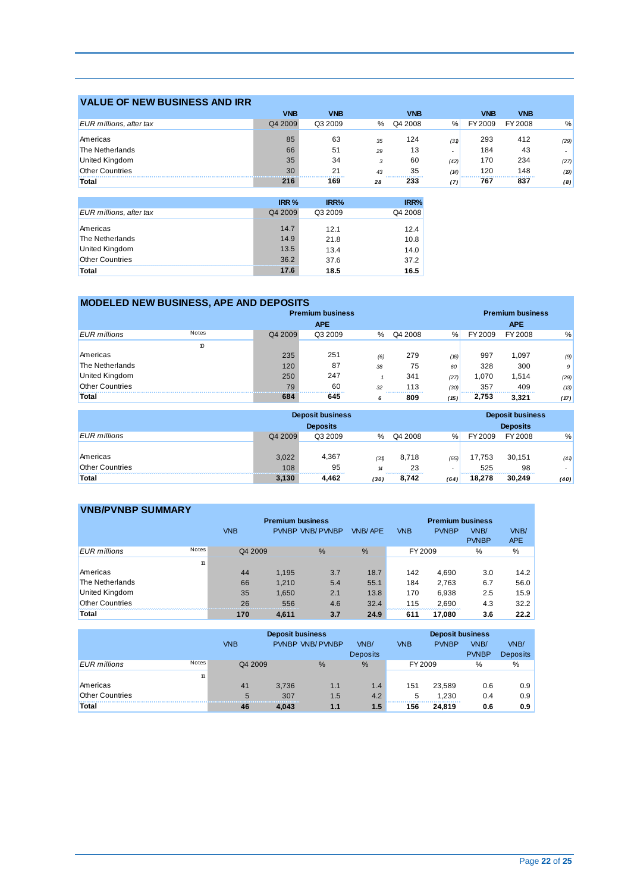| <b>VALUE OF NEW BUSINESS AND IRR</b> |                  |            |    |                            |      |            |            |      |
|--------------------------------------|------------------|------------|----|----------------------------|------|------------|------------|------|
|                                      | <b>VNB</b>       | <b>VNB</b> |    | <b>VNB</b>                 |      | <b>VNB</b> | <b>VNB</b> |      |
| EUR millions, after tax              | Q4 2009          | Q3 2009    | %  | Q4 2008                    | %    | FY 2009    | FY 2008    | %    |
| Americas                             | 85               | 63         | 35 | 124                        | (31) | 293        | 412        | (29) |
| The Netherlands                      | 66               | 51         | 29 | 13                         | ٠    | 184        | 43         |      |
| <b>United Kingdom</b>                | 35               | 34         | 3  | 60                         | (42) | 170        | 234        | (27) |
| <b>Other Countries</b>               | 30               | 21         | 43 | 35                         | (14) | 120        | 148        | (19) |
| Total                                | 216              | 169        | 28 | -------------------<br>233 | (7)  | 767        | 837        | (8)  |
|                                      |                  |            |    |                            |      |            |            |      |
|                                      | IRR <sub>%</sub> | IRR%       |    | IRR%                       |      |            |            |      |
| EUR millions, after tax              | Q4 2009          | Q3 2009    |    | Q4 2008                    |      |            |            |      |
| Americas                             | 14.7             | 12.1       |    | 12.4                       |      |            |            |      |

The Netherlands 14.9 21.8 10.8 United Kingdom 13.5 13.4 14.0 Other Countries 36.2 37.6 37.2

| Total                  |                                               | 17.6                    | 18.5       |      | 16.5    |      |         |            |      |
|------------------------|-----------------------------------------------|-------------------------|------------|------|---------|------|---------|------------|------|
|                        |                                               |                         |            |      |         |      |         |            |      |
|                        | <b>MODELED NEW BUSINESS, APE AND DEPOSITS</b> |                         |            |      |         |      |         |            |      |
|                        |                                               | <b>Premium business</b> |            |      |         |      |         |            |      |
|                        |                                               |                         | <b>APE</b> |      |         |      |         | <b>APE</b> |      |
| <b>EUR</b> millions    | Notes                                         | Q4 2009                 | Q3 2009    | $\%$ | Q4 2008 | $\%$ | FY 2009 | FY 2008    | $\%$ |
|                        | 10                                            |                         |            |      |         |      |         |            |      |
| Americas               |                                               | 235                     | 251        | (6)  | 279     | (16) | 997     | 1,097      | (9)  |
| The Netherlands        |                                               | 120                     | 87         | 38   | 75      | 60   | 328     | 300        | 9    |
| United Kingdom         |                                               | 250                     | 247        |      | 341     | (27) | 1,070   | 1,514      | (29) |
| <b>Other Countries</b> |                                               | 79                      | 60         | 32   | 113     | (30) | 357     | 409        | (13) |
| Total                  |                                               | 684                     | 645        | 6    | 809     | (15) | 2,753   | 3,321      | (17) |

|                        | <b>Deposit business</b> |                 | <b>Deposit business</b> |           |      |         |                 |      |
|------------------------|-------------------------|-----------------|-------------------------|-----------|------|---------|-----------------|------|
|                        |                         | <b>Deposits</b> |                         |           |      |         | <b>Deposits</b> |      |
| <b>EUR</b> millions    | Q4 2009                 | Q3 2009         | $\%$                    | Q4 2008   | $\%$ | FY 2009 | FY 2008         | %    |
|                        |                         |                 |                         |           |      |         |                 |      |
| Americas               | 3.022                   | 4.367           | (31)                    | 8.718     | (65) | 17,753  | 30.151          | (41) |
| <b>Other Countries</b> | 108                     | 95              | 14                      | 23        |      | 525     | 98              |      |
| <b>Total</b>           | 3,130                   | 4.462           | (30)                    | <br>8.742 | (64) | 18.278  | 30.249          | (40) |

| <b>VNB/PVNBP SUMMARY</b> |       |            |       |                         |                |            |                         |              |            |
|--------------------------|-------|------------|-------|-------------------------|----------------|------------|-------------------------|--------------|------------|
|                          |       |            |       | <b>Premium business</b> |                |            | <b>Premium business</b> |              |            |
|                          |       | <b>VNB</b> |       | PVNBP VNB/PVNBP         | <b>VNB/APE</b> | <b>VNB</b> | <b>PVNBP</b>            | VNB/         | VNB/       |
|                          |       |            |       |                         |                |            |                         | <b>PVNBP</b> | <b>APE</b> |
| <b>EUR</b> millions      | Notes | Q4 2009    |       | %                       | %              | FY 2009    |                         | %            | %          |
|                          | 11    |            |       |                         |                |            |                         |              |            |
| Americas                 |       | 44         | 1,195 | 3.7                     | 18.7           | 142        | 4.690                   | 3.0          | 14.2       |
| The Netherlands          |       | 66         | 1.210 | 5.4                     | 55.1           | 184        | 2,763                   | 6.7          | 56.0       |
| <b>United Kingdom</b>    |       | 35         | 1.650 | 2.1                     | 13.8           | 170        | 6.938                   | 2.5          | 15.9       |
| <b>Other Countries</b>   |       | 26         | 556   | 4.6                     | 32.4           | 115        | 2,690                   | 4.3          | 32.2       |
| <b>Total</b>             |       | 170        | 4.611 | 3.7                     | 24.9           | 611        | 17,080                  | 3.6          | 22.2       |

|                        |       | <b>Deposit business</b> |       |                        |                 | <b>Deposit business</b> |              |              |                   |  |
|------------------------|-------|-------------------------|-------|------------------------|-----------------|-------------------------|--------------|--------------|-------------------|--|
|                        |       | <b>VNB</b>              |       | <b>PVNBP VNB/PVNBP</b> | VNB/            | <b>VNB</b>              | <b>PVNBP</b> | VNB/         | VN <sub>B</sub> / |  |
|                        |       |                         |       |                        | <b>Deposits</b> |                         |              | <b>PVNBP</b> | <b>Deposits</b>   |  |
| <b>EUR</b> millions    | Notes | Q4 2009                 |       | $\%$                   | %               | FY 2009                 |              | $\%$         | %                 |  |
|                        | 11    |                         |       |                        |                 |                         |              |              |                   |  |
| Americas               |       | 41                      | 3,736 | 1.1                    | 1.4             | 151                     | 23.589       | 0.6          | 0.9               |  |
| <b>Other Countries</b> |       | 5                       | 307   | 1.5                    | 4.2             | 5                       | 1.230        | 0.4          | 0.9               |  |
| <b>Total</b>           |       | 46                      | 4.043 | 1.1                    | 1.5             | <br>156                 | 24.819       | 0.6          | 0.9               |  |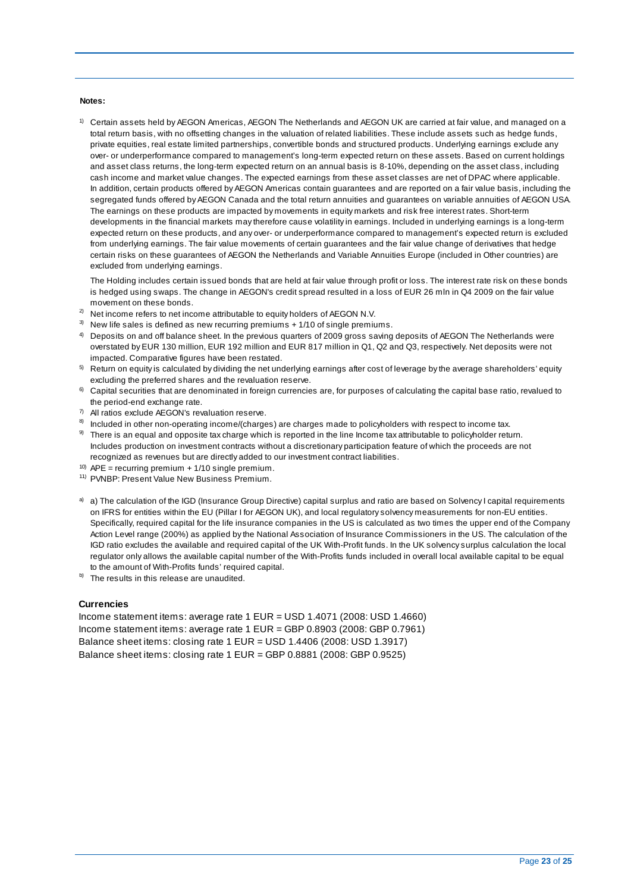#### **Notes:**

 total return basis, with no offsetting changes in the valuation of related liabilities. These include assets such as hedge funds, over- or underperformance compared to management's long-term expected return on these assets. Based on current holdings and asset class returns, the long-term expected return on an annual basis is 8-10%, depending on the asset class, including cash income and market value changes. The expected earnings from these asset classes are net of DPAC where applicable. In addition, certain products offered by AEGON Americas contain guarantees and are reported on a fair value basis, including the segregated funds offered by AEGON Canada and the total return annuities and guarantees on variable annuities of AEGON USA. The earnings on these products are impacted by movements in equity markets and risk free interest rates. Short-term developments in the financial markets may therefore cause volatility in earnings. Included in underlying earnings is a long-term expected return on these products, and any over- or underperformance compared to management's expected return is excluded from underlying earnings. The fair value movements of certain guarantees and the fair value change of derivatives that hedge certain risks on these guarantees of AEGON the Netherlands and Variable Annuities Europe (included in Other countries) are  $1)$  Certain assets held by AEGON Americas, AEGON The Netherlands and AEGON UK are carried at fair value, and managed on a private equities, real estate limited partnerships, convertible bonds and structured products. Underlying earnings exclude any excluded from underlying earnings.

 The Holding includes certain issued bonds that are held at fair value through profit or loss. The interest rate risk on these bonds is hedged using swaps. The change in AEGON's credit spread resulted in a loss of EUR 26 mln in Q4 2009 on the fair value movement on these bonds.

- <sup>2)</sup> Net income refers to net income attributable to equity holders of AEGON N.V.
- $3)$  New life sales is defined as new recurring premiums + 1/10 of single premiums.
- $^{4)}$  Deposits on and off balance sheet. In the previous quarters of 2009 gross saving deposits of AEGON The Netherlands were overstated by EUR 130 million, EUR 192 million and EUR 817 million in Q1, Q2 and Q3, respectively. Net deposits were not impacted. Comparative figures have been restated.
- $5$  Return on equity is calculated by dividing the net underlying earnings after cost of leverage by the average shareholders' equity excluding the preferred shares and the revaluation reserve.
- 6) Capital securities that are denominated in foreign currencies are, for purposes of calculating the capital base ratio, revalued to the period-end exchange rate.
- $7)$  All ratios exclude AEGON's revaluation reserve.
- $8$  Included in other non-operating income/(charges) are charges made to policyholders with respect to income tax.
- <sup>9)</sup> There is an equal and opposite tax charge which is reported in the line Income tax attributable to policyholder return. Includes production on investment contracts without a discretionary participation feature of which the proceeds are not recognized as revenues but are directly added to our investment contract liabilities.
- <sup>10)</sup> APE = recurring premium  $+1/10$  single premium.
- 11) PVNBP: Present Value New Business Premium.
- a) a) The calculation of the IGD (Insurance Group Directive) capital surplus and ratio are based on Solvency I capital requirements on IFRS for entities within the EU (Pillar I for AEGON UK), and local regulatory solvency measurements for non-EU entities. Specifically, required capital for the life insurance companies in the US is calculated as two times the upper end of the Company Action Level range (200%) as applied by the National Association of Insurance Commissioners in the US. The calculation of the IGD ratio excludes the available and required capital of the UK With-Profit funds. In the UK solvency surplus calculation the local regulator only allows the available capital number of the With-Profits funds included in overall local available capital to be equal to the amount of With-Profits funds' required capital.
- $b)$  The results in this release are unaudited.

#### **Currencies**

 Income statement items: average rate 1 EUR = GBP 0.8903 (2008: GBP 0.7961) Balance sheet items: closing rate 1 EUR = GBP 0.8881 (2008: GBP 0.9525) Income statement items: average rate 1 EUR = USD 1.4071 (2008: USD 1.4660) Balance sheet items: closing rate 1 EUR = USD 1.4406 (2008: USD 1.3917)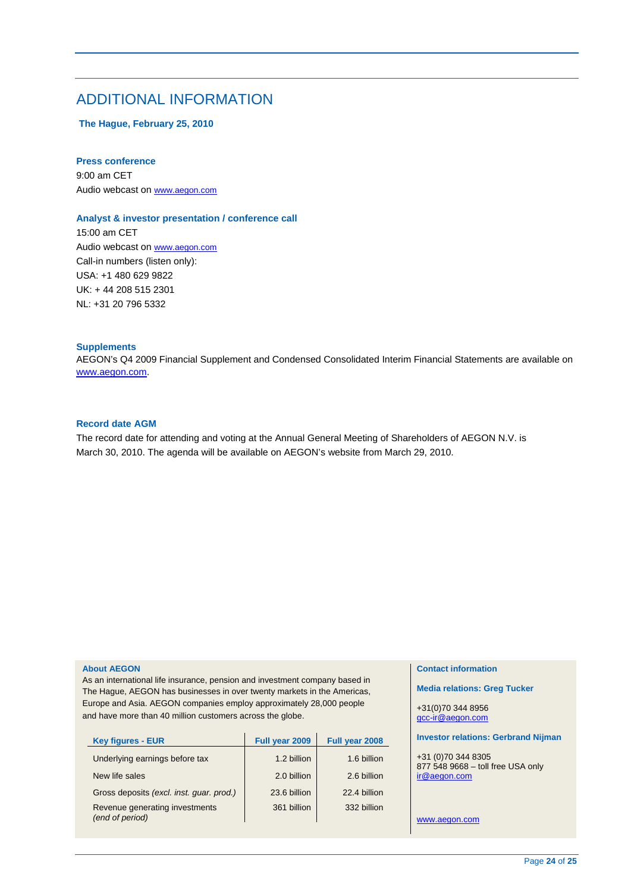## ADDITIONAL INFORMATION

 **The Hague, February 25, 2010** 

#### **Press conference**

9:00 am CET Audio webcast on www.aegon.com

#### **Analyst & investor presentation / conference call**

15:00 am CET Audio webcast on www.aegon.com Call-in numbers (listen only): USA: +1 480 629 9822 UK: + 44 208 515 2301 NL: +31 20 796 5332

#### **Supplements**

AEGON's Q4 2009 Financial Supplement and Condensed Consolidated Interim Financial Statements are available on www.aegon.com.

### **Record date AGM**

The record date for attending and voting at the Annual General Meeting of Shareholders of AEGON N.V. is March 30, 2010. The agenda will be available on AEGON's website from March 29, 2010.

#### **About AEGON**

As an international life insurance, pension and investment company based in The Hague, AEGON has businesses in over twenty markets in the Americas, Europe and Asia. AEGON companies employ approximately 28,000 people and have more than 40 million customers across the globe.

| <b>Key figures - EUR</b>                          | Full year 2009 | Full year 2008 |
|---------------------------------------------------|----------------|----------------|
| Underlying earnings before tax                    | 1.2 billion    | 1.6 billion    |
| New life sales                                    | 2.0 billion    | 2.6 billion    |
| Gross deposits (excl. inst. guar. prod.)          | 23.6 billion   | 22.4 billion   |
| Revenue generating investments<br>(end of period) | 361 billion    | 332 billion    |

#### **Contact information**

**Media relations: Greg Tucker** 

+31(0)70 344 8956 gcc-ir@aegon.com

#### **Investor relations: Gerbrand Nijman**

+31 (0)70 344 8305 877 548 9668 – toll free USA only ir@aegon.com

www.aegon.com